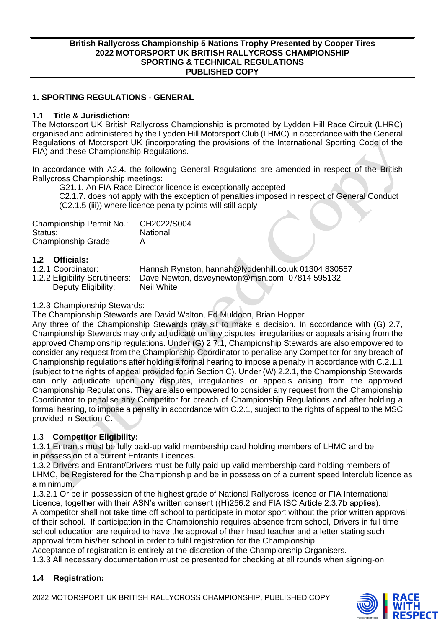#### **British Rallycross Championship 5 Nations Trophy Presented by Cooper Tires 2022 MOTORSPORT UK BRITISH RALLYCROSS CHAMPIONSHIP SPORTING & TECHNICAL REGULATIONS PUBLISHED COPY**

### **1. SPORTING REGULATIONS - GENERAL**

#### **1.1 Title & Jurisdiction:**

The Motorsport UK British Rallycross Championship is promoted by Lydden Hill Race Circuit (LHRC) organised and administered by the Lydden Hill Motorsport Club (LHMC) in accordance with the General Regulations of Motorsport UK (incorporating the provisions of the International Sporting Code of the FIA) and these Championship Regulations.

In accordance with A2.4. the following General Regulations are amended in respect of the British Rallycross Championship meetings:

G21.1. An FIA Race Director licence is exceptionally accepted C2.1.7. does not apply with the exception of penalties imposed in respect of General Conduct

(C2.1.5 (iii)) where licence penalty points will still apply

| Championship Permit No.:   | CH2022/S004 |
|----------------------------|-------------|
| Status:                    | National    |
| <b>Championship Grade:</b> |             |

# **1.2 Officials:**

- 
- Deputy Eligibility: Neil White

1.2.1 Coordinator: Hannah Rynston, [hannah@lyddenhill.co.uk](mailto:hannah@lyddenhill.co.uk) 01304 830557<br>1.2.2 Eligibility Scrutineers: Dave Newton, daveynewton@msn.com, 07814 595132 Dave Newton, [daveynewton@msn.com,](mailto:daveynewton@msn.com) 07814 595132

#### 1.2.3 Championship Stewards:

The Championship Stewards are David Walton, Ed Muldoon, Brian Hopper

Any three of the Championship Stewards may sit to make a decision. In accordance with (G) 2.7, Championship Stewards may only adjudicate on any disputes, irregularities or appeals arising from the approved Championship regulations. Under (G) 2.7.1, Championship Stewards are also empowered to consider any request from the Championship Coordinator to penalise any Competitor for any breach of Championship regulations after holding a formal hearing to impose a penalty in accordance with C.2.1.1 (subject to the rights of appeal provided for in Section C). Under (W) 2.2.1, the Championship Stewards can only adjudicate upon any disputes, irregularities or appeals arising from the approved Championship Regulations. They are also empowered to consider any request from the Championship Coordinator to penalise any Competitor for breach of Championship Regulations and after holding a formal hearing, to impose a penalty in accordance with C.2.1, subject to the rights of appeal to the MSC provided in Section C.

#### 1.3 **Competitor Eligibility:**

1.3.1 Entrants must be fully paid-up valid membership card holding members of LHMC and be in possession of a current Entrants Licences.

1.3.2 Drivers and Entrant/Drivers must be fully paid-up valid membership card holding members of LHMC, be Registered for the Championship and be in possession of a current speed Interclub licence as a minimum.

1.3.2.1 Or be in possession of the highest grade of National Rallycross licence or FIA International Licence, together with their ASN's written consent ((H)256.2 and FIA ISC Article 2.3.7b applies). A competitor shall not take time off school to participate in motor sport without the prior written approval of their school. If participation in the Championship requires absence from school, Drivers in full time school education are required to have the approval of their head teacher and a letter stating such approval from his/her school in order to fulfil registration for the Championship.

Acceptance of registration is entirely at the discretion of the Championship Organisers.

1.3.3 All necessary documentation must be presented for checking at all rounds when signing-on.

# **1.4 Registration:**

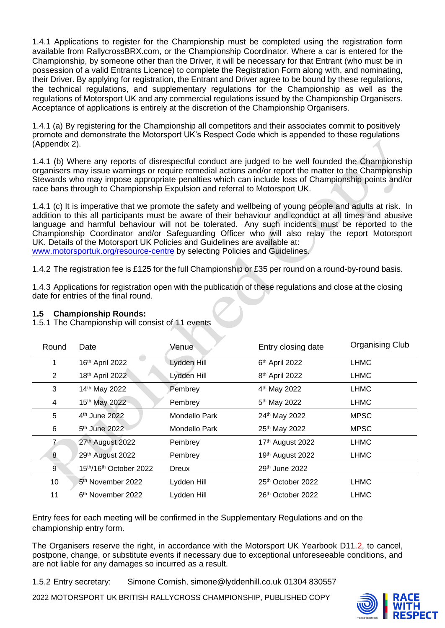1.4.1 Applications to register for the Championship must be completed using the registration form available from RallycrossBRX.com, or the Championship Coordinator. Where a car is entered for the Championship, by someone other than the Driver, it will be necessary for that Entrant (who must be in possession of a valid Entrants Licence) to complete the Registration Form along with, and nominating, their Driver. By applying for registration, the Entrant and Driver agree to be bound by these regulations. the technical regulations, and supplementary regulations for the Championship as well as the regulations of Motorsport UK and any commercial regulations issued by the Championship Organisers. Acceptance of applications is entirely at the discretion of the Championship Organisers.

1.4.1 (a) By registering for the Championship all competitors and their associates commit to positively promote and demonstrate the Motorsport UK's Respect Code which is appended to these regulations (Appendix 2).

1.4.1 (b) Where any reports of disrespectful conduct are judged to be well founded the Championship organisers may issue warnings or require remedial actions and/or report the matter to the Championship Stewards who may impose appropriate penalties which can include loss of Championship points and/or race bans through to Championship Expulsion and referral to Motorsport UK.

1.4.1 (c) It is imperative that we promote the safety and wellbeing of young people and adults at risk. In addition to this all participants must be aware of their behaviour and conduct at all times and abusive language and harmful behaviour will not be tolerated. Any such incidents must be reported to the Championship Coordinator and/or Safeguarding Officer who will also relay the report Motorsport UK. Details of the Motorsport UK Policies and Guidelines are available at: [www.motorsportuk.org/resource-centre](http://www.motorsportuk.org/resource-centre) by selecting Policies and Guidelines.

1.4.2 The registration fee is £125 for the full Championship or £35 per round on a round-by-round basis.

1.4.3 Applications for registration open with the publication of these regulations and close at the closing date for entries of the final round.

#### **1.5 Championship Rounds:**

1.5.1 The Championship will consist of 11 events

| Round          | Date                          | Venue         | Entry closing date         | <b>Organising Club</b> |
|----------------|-------------------------------|---------------|----------------------------|------------------------|
| 1              | 16th April 2022               | Lydden Hill   | 6th April 2022             | <b>LHMC</b>            |
| $\overline{2}$ | 18th April 2022               | Lydden Hill   | 8 <sup>th</sup> April 2022 | <b>LHMC</b>            |
| 3              | 14th May 2022                 | Pembrey       | 4 <sup>th</sup> May 2022   | <b>LHMC</b>            |
| 4              | 15th May 2022                 | Pembrey       | 5 <sup>th</sup> May 2022   | <b>LHMC</b>            |
| 5              | 4 <sup>th</sup> June 2022     | Mondello Park | 24th May 2022              | <b>MPSC</b>            |
| 6              | 5 <sup>th</sup> June 2022     | Mondello Park | 25th May 2022              | <b>MPSC</b>            |
|                | 27th August 2022              | Pembrey       | 17th August 2022           | <b>LHMC</b>            |
| 8              | 29th August 2022              | Pembrey       | 19th August 2022           | <b>LHMC</b>            |
| 9              | 15th/16th October 2022        | <b>Dreux</b>  | 29th June 2022             |                        |
| 10             | 5 <sup>th</sup> November 2022 | Lydden Hill   | 25th October 2022          | <b>LHMC</b>            |
| 11             | 6 <sup>th</sup> November 2022 | Lydden Hill   | 26th October 2022          | <b>LHMC</b>            |

Entry fees for each meeting will be confirmed in the Supplementary Regulations and on the championship entry form.

The Organisers reserve the right, in accordance with the Motorsport UK Yearbook D11.2, to cancel, postpone, change, or substitute events if necessary due to exceptional unforeseeable conditions, and are not liable for any damages so incurred as a result.

1.5.2 Entry secretary: Simone Cornish, [simone@lyddenhill.co.uk](mailto:simone@lyddenhill.co.uk) 01304 830557

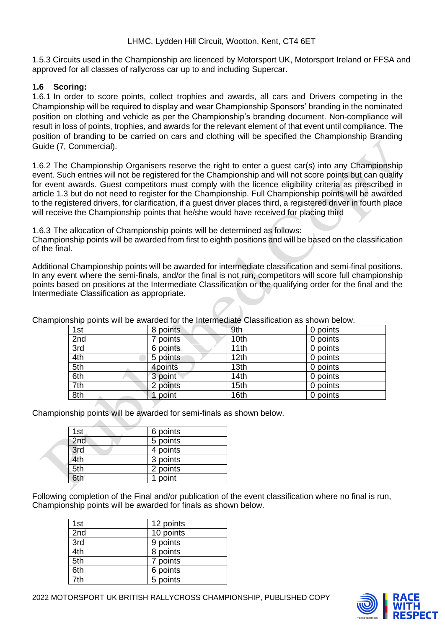1.5.3 Circuits used in the Championship are licenced by Motorsport UK, Motorsport Ireland or FFSA and approved for all classes of rallycross car up to and including Supercar.

#### **1.6 Scoring:**

1.6.1 In order to score points, collect trophies and awards, all cars and Drivers competing in the Championship will be required to display and wear Championship Sponsors' branding in the nominated position on clothing and vehicle as per the Championship's branding document. Non-compliance will result in loss of points, trophies, and awards for the relevant element of that event until compliance. The position of branding to be carried on cars and clothing will be specified the Championship Branding Guide (7, Commercial).

1.6.2 The Championship Organisers reserve the right to enter a guest car(s) into any Championship event. Such entries will not be registered for the Championship and will not score points but can qualify for event awards. Guest competitors must comply with the licence eligibility criteria as prescribed in article 1.3 but do not need to register for the Championship. Full Championship points will be awarded to the registered drivers, for clarification, if a guest driver places third, a registered driver in fourth place will receive the Championship points that he/she would have received for placing third

1.6.3 The allocation of Championship points will be determined as follows:

Championship points will be awarded from first to eighth positions and will be based on the classification of the final.

Additional Championship points will be awarded for intermediate classification and semi-final positions. In any event where the semi-finals, and/or the final is not run, competitors will score full championship points based on positions at the Intermediate Classification or the qualifying order for the final and the Intermediate Classification as appropriate.

| 1st | 8 points  | 9th              | 0 points |
|-----|-----------|------------------|----------|
| 2nd | points    | 10th             | 0 points |
| 3rd | 6 points. | 11th             | 0 points |
| 4th | 5 points  | 12 <sub>th</sub> | 0 points |
| 5th | 4points   | 13th             | 0 points |
| 6th | 3 point   | 14th             | 0 points |
| 7th | 2 points  | 15th             | 0 points |
| 8th | point     | 16th             | 0 points |

Championship points will be awarded for the Intermediate Classification as shown below.

Championship points will be awarded for semi-finals as shown below.

| 1st | 6 points |
|-----|----------|
| 2nd | 5 points |
| 3rd | 4 points |
| 4th | 3 points |
| 5th | 2 points |
| 6th | 1 point  |

Following completion of the Final and/or publication of the event classification where no final is run, Championship points will be awarded for finals as shown below.

| 1st | 12 points |
|-----|-----------|
| 2nd | 10 points |
| 3rd | 9 points  |
| 4th | 8 points  |
| 5th | 7 points  |
| 6th | 6 points  |
| 7th | 5 points  |

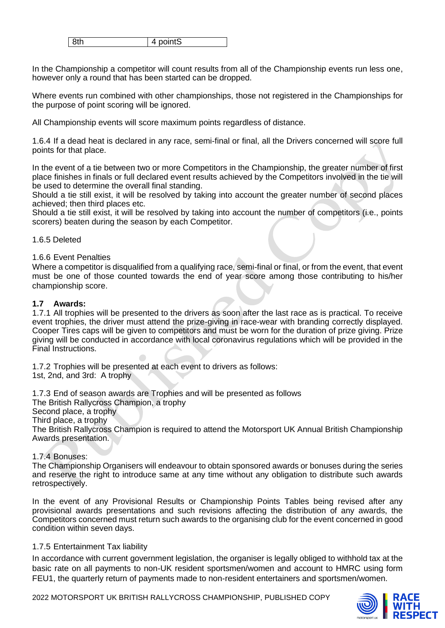| . ت |
|-----|
|-----|

In the Championship a competitor will count results from all of the Championship events run less one, however only a round that has been started can be dropped.

Where events run combined with other championships, those not registered in the Championships for the purpose of point scoring will be ignored.

All Championship events will score maximum points regardless of distance.

1.6.4 If a dead heat is declared in any race, semi-final or final, all the Drivers concerned will score full points for that place.

In the event of a tie between two or more Competitors in the Championship, the greater number of first place finishes in finals or full declared event results achieved by the Competitors involved in the tie will be used to determine the overall final standing.

Should a tie still exist, it will be resolved by taking into account the greater number of second places achieved; then third places etc.

Should a tie still exist, it will be resolved by taking into account the number of competitors (i.e., points scorers) beaten during the season by each Competitor.

#### 1.6.5 Deleted

#### 1.6.6 Event Penalties

Where a competitor is disqualified from a qualifying race, semi-final or final, or from the event, that event must be one of those counted towards the end of year score among those contributing to his/her championship score.

#### **1.7 Awards:**

1.7.1 All trophies will be presented to the drivers as soon after the last race as is practical. To receive event trophies, the driver must attend the prize-giving in race-wear with branding correctly displayed. Cooper Tires caps will be given to competitors and must be worn for the duration of prize giving. Prize giving will be conducted in accordance with local coronavirus regulations which will be provided in the Final Instructions.

1.7.2 Trophies will be presented at each event to drivers as follows: 1st, 2nd, and 3rd: A trophy

1.7.3 End of season awards are Trophies and will be presented as follows The British Rallycross Champion, a trophy Second place, a trophy Third place, a trophy The British Rallycross Champion is required to attend the Motorsport UK Annual British Championship Awards presentation.

#### 1.7.4 Bonuses:

The Championship Organisers will endeavour to obtain sponsored awards or bonuses during the series and reserve the right to introduce same at any time without any obligation to distribute such awards retrospectively.

In the event of any Provisional Results or Championship Points Tables being revised after any provisional awards presentations and such revisions affecting the distribution of any awards, the Competitors concerned must return such awards to the organising club for the event concerned in good condition within seven days.

#### 1.7.5 Entertainment Tax liability

In accordance with current government legislation, the organiser is legally obliged to withhold tax at the basic rate on all payments to non-UK resident sportsmen/women and account to HMRC using form FEU1, the quarterly return of payments made to non-resident entertainers and sportsmen/women.

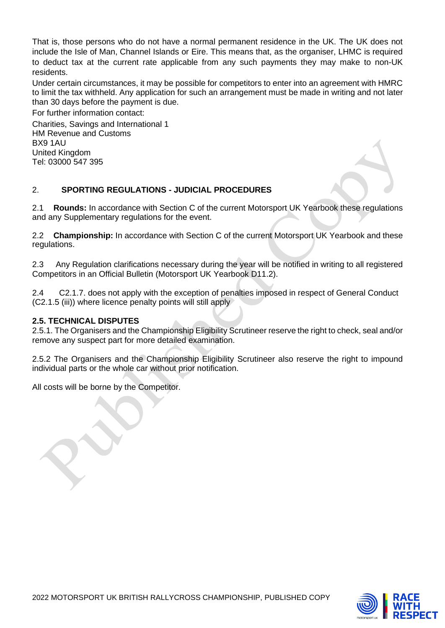That is, those persons who do not have a normal permanent residence in the UK. The UK does not include the Isle of Man, Channel Islands or Eire. This means that, as the organiser, LHMC is required to deduct tax at the current rate applicable from any such payments they may make to non-UK residents.

Under certain circumstances, it may be possible for competitors to enter into an agreement with HMRC to limit the tax withheld. Any application for such an arrangement must be made in writing and not later than 30 days before the payment is due.

For further information contact: Charities, Savings and International 1 HM Revenue and Customs BX9 1AU United Kingdom Tel: 03000 547 395

# 2. **SPORTING REGULATIONS - JUDICIAL PROCEDURES**

2.1 **Rounds:** In accordance with Section C of the current Motorsport UK Yearbook these regulations and any Supplementary regulations for the event.

2.2 **Championship:** In accordance with Section C of the current Motorsport UK Yearbook and these regulations.

2.3 Any Regulation clarifications necessary during the year will be notified in writing to all registered Competitors in an Official Bulletin (Motorsport UK Yearbook D11.2).

2.4 C2.1.7. does not apply with the exception of penalties imposed in respect of General Conduct (C2.1.5 (iii)) where licence penalty points will still apply

#### **2.5. TECHNICAL DISPUTES**

2.5.1. The Organisers and the Championship Eligibility Scrutineer reserve the right to check, seal and/or remove any suspect part for more detailed examination.

2.5.2 The Organisers and the Championship Eligibility Scrutineer also reserve the right to impound individual parts or the whole car without prior notification.

All costs will be borne by the Competitor.

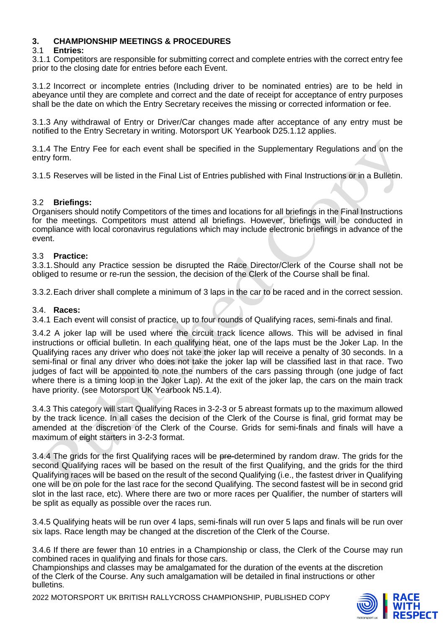## **3. CHAMPIONSHIP MEETINGS & PROCEDURES**

#### 3.1 **Entries:**

3.1.1 Competitors are responsible for submitting correct and complete entries with the correct entry fee prior to the closing date for entries before each Event.

3.1.2 Incorrect or incomplete entries (Including driver to be nominated entries) are to be held in abeyance until they are complete and correct and the date of receipt for acceptance of entry purposes shall be the date on which the Entry Secretary receives the missing or corrected information or fee.

3.1.3 Any withdrawal of Entry or Driver/Car changes made after acceptance of any entry must be notified to the Entry Secretary in writing. Motorsport UK Yearbook D25.1.12 applies.

3.1.4 The Entry Fee for each event shall be specified in the Supplementary Regulations and on the entry form.

3.1.5 Reserves will be listed in the Final List of Entries published with Final Instructions or in a Bulletin.

### 3.2 **Briefings:**

Organisers should notify Competitors of the times and locations for all briefings in the Final Instructions for the meetings. Competitors must attend all briefings. However, briefings will be conducted in compliance with local coronavirus regulations which may include electronic briefings in advance of the event.

### 3.3 **Practice:**

3.3.1.Should any Practice session be disrupted the Race Director/Clerk of the Course shall not be obliged to resume or re-run the session, the decision of the Clerk of the Course shall be final.

3.3.2.Each driver shall complete a minimum of 3 laps in the car to be raced and in the correct session.

#### 3.4. **Races:**

3.4.1 Each event will consist of practice, up to four rounds of Qualifying races, semi-finals and final.

3.4.2 A joker lap will be used where the circuit track licence allows. This will be advised in final instructions or official bulletin. In each qualifying heat, one of the laps must be the Joker Lap. In the Qualifying races any driver who does not take the joker lap will receive a penalty of 30 seconds. In a semi-final or final any driver who does not take the joker lap will be classified last in that race. Two judges of fact will be appointed to note the numbers of the cars passing through (one judge of fact where there is a timing loop in the Joker Lap). At the exit of the joker lap, the cars on the main track have priority. (see Motorsport UK Yearbook N5.1.4).

3.4.3 This category will start Qualifying Races in 3-2-3 or 5 abreast formats up to the maximum allowed by the track licence. In all cases the decision of the Clerk of the Course is final, grid format may be amended at the discretion of the Clerk of the Course. Grids for semi-finals and finals will have a maximum of eight starters in 3-2-3 format.

3.4.4 The grids for the first Qualifying races will be pre-determined by random draw. The grids for the second Qualifying races will be based on the result of the first Qualifying, and the grids for the third Qualifying races will be based on the result of the second Qualifying (i.e., the fastest driver in Qualifying one will be on pole for the last race for the second Qualifying. The second fastest will be in second grid slot in the last race, etc). Where there are two or more races per Qualifier, the number of starters will be split as equally as possible over the races run.

3.4.5 Qualifying heats will be run over 4 laps, semi-finals will run over 5 laps and finals will be run over six laps. Race length may be changed at the discretion of the Clerk of the Course.

3.4.6 If there are fewer than 10 entries in a Championship or class, the Clerk of the Course may run combined races in qualifying and finals for those cars.

Championships and classes may be amalgamated for the duration of the events at the discretion of the Clerk of the Course. Any such amalgamation will be detailed in final instructions or other bulletins.

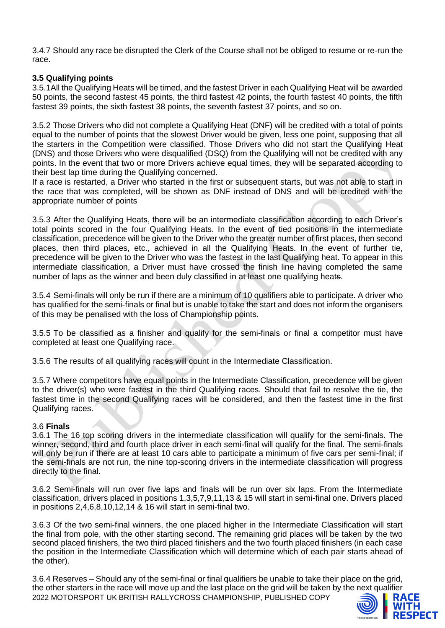3.4.7 Should any race be disrupted the Clerk of the Course shall not be obliged to resume or re-run the race.

## **3.5 Qualifying points**

3.5.1All the Qualifying Heats will be timed, and the fastest Driver in each Qualifying Heat will be awarded 50 points, the second fastest 45 points, the third fastest 42 points, the fourth fastest 40 points, the fifth fastest 39 points, the sixth fastest 38 points, the seventh fastest 37 points, and so on.

3.5.2 Those Drivers who did not complete a Qualifying Heat (DNF) will be credited with a total of points equal to the number of points that the slowest Driver would be given, less one point, supposing that all the starters in the Competition were classified. Those Drivers who did not start the Qualifying Heat (DNS) and those Drivers who were disqualified (DSQ) from the Qualifying will not be credited with any points. In the event that two or more Drivers achieve equal times, they will be separated according to their best lap time during the Qualifying concerned.

If a race is restarted, a Driver who started in the first or subsequent starts, but was not able to start in the race that was completed, will be shown as DNF instead of DNS and will be credited with the appropriate number of points

3.5.3 After the Qualifying Heats, there will be an intermediate classification according to each Driver's total points scored in the four Qualifying Heats. In the event of tied positions in the intermediate classification, precedence will be given to the Driver who the greater number of first places, then second places, then third places, etc., achieved in all the Qualifying Heats. In the event of further tie, precedence will be given to the Driver who was the fastest in the last Qualifying heat. To appear in this intermediate classification, a Driver must have crossed the finish line having completed the same number of laps as the winner and been duly classified in at least one qualifying heats.

3.5.4 Semi-finals will only be run if there are a minimum of 10 qualifiers able to participate. A driver who has qualified for the semi-finals or final but is unable to take the start and does not inform the organisers of this may be penalised with the loss of Championship points.

3.5.5 To be classified as a finisher and qualify for the semi-finals or final a competitor must have completed at least one Qualifying race.

3.5.6 The results of all qualifying races will count in the Intermediate Classification.

3.5.7 Where competitors have equal points in the Intermediate Classification, precedence will be given to the driver(s) who were fastest in the third Qualifying races. Should that fail to resolve the tie, the fastest time in the second Qualifying races will be considered, and then the fastest time in the first Qualifying races.

#### 3.6 **Finals**

3.6.1 The 16 top scoring drivers in the intermediate classification will qualify for the semi-finals. The winner, second, third and fourth place driver in each semi-final will qualify for the final. The semi-finals will only be run if there are at least 10 cars able to participate a minimum of five cars per semi-final; if the semi-finals are not run, the nine top-scoring drivers in the intermediate classification will progress directly to the final.

3.6.2 Semi-finals will run over five laps and finals will be run over six laps. From the Intermediate classification, drivers placed in positions 1,3,5,7,9,11,13 & 15 will start in semi-final one. Drivers placed in positions 2,4,6,8,10,12,14 & 16 will start in semi-final two.

3.6.3 Of the two semi-final winners, the one placed higher in the Intermediate Classification will start the final from pole, with the other starting second. The remaining grid places will be taken by the two second placed finishers, the two third placed finishers and the two fourth placed finishers (in each case the position in the Intermediate Classification which will determine which of each pair starts ahead of the other).

2022 MOTORSPORT UK BRITISH RALLYCROSS CHAMPIONSHIP, PUBLISHED COPY 3.6.4 Reserves – Should any of the semi-final or final qualifiers be unable to take their place on the grid, the other starters in the race will move up and the last place on the grid will be taken by the next qualifier

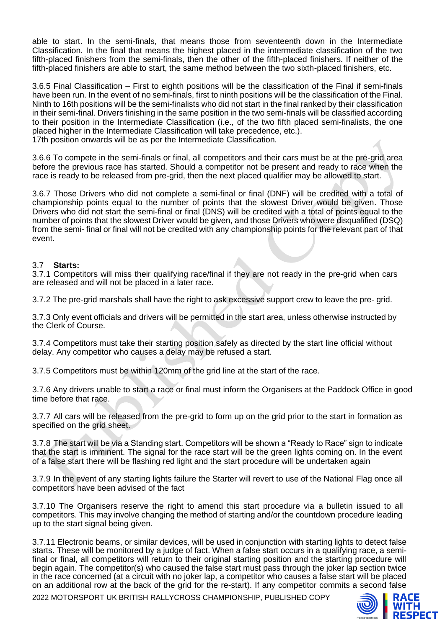able to start. In the semi-finals, that means those from seventeenth down in the Intermediate Classification. In the final that means the highest placed in the intermediate classification of the two fifth-placed finishers from the semi-finals, then the other of the fifth-placed finishers. If neither of the fifth-placed finishers are able to start, the same method between the two sixth-placed finishers, etc.

3.6.5 Final Classification – First to eighth positions will be the classification of the Final if semi-finals have been run. In the event of no semi-finals, first to ninth positions will be the classification of the Final. Ninth to 16th positions will be the semi-finalists who did not start in the final ranked by their classification in their semi-final. Drivers finishing in the same position in the two semi-finals will be classified according to their position in the Intermediate Classification (i.e., of the two fifth placed semi-finalists, the one placed higher in the Intermediate Classification will take precedence, etc.). 17th position onwards will be as per the Intermediate Classification.

3.6.6 To compete in the semi-finals or final, all competitors and their cars must be at the pre-grid area before the previous race has started. Should a competitor not be present and ready to race when the race is ready to be released from pre-grid, then the next placed qualifier may be allowed to start.

3.6.7 Those Drivers who did not complete a semi-final or final (DNF) will be credited with a total of championship points equal to the number of points that the slowest Driver would be given. Those Drivers who did not start the semi-final or final (DNS) will be credited with a total of points equal to the number of points that the slowest Driver would be given, and those Drivers who were disqualified (DSQ) from the semi- final or final will not be credited with any championship points for the relevant part of that event.

#### 3.7 **Starts:**

3.7.1 Competitors will miss their qualifying race/final if they are not ready in the pre-grid when cars are released and will not be placed in a later race.

3.7.2 The pre-grid marshals shall have the right to ask excessive support crew to leave the pre- grid.

3.7.3 Only event officials and drivers will be permitted in the start area, unless otherwise instructed by the Clerk of Course.

3.7.4 Competitors must take their starting position safely as directed by the start line official without delay. Any competitor who causes a delay may be refused a start.

3.7.5 Competitors must be within 120mm of the grid line at the start of the race.

3.7.6 Any drivers unable to start a race or final must inform the Organisers at the Paddock Office in good time before that race.

3.7.7 All cars will be released from the pre-grid to form up on the grid prior to the start in formation as specified on the grid sheet.

3.7.8 The start will be via a Standing start. Competitors will be shown a "Ready to Race" sign to indicate that the start is imminent. The signal for the race start will be the green lights coming on. In the event of a false start there will be flashing red light and the start procedure will be undertaken again

3.7.9 In the event of any starting lights failure the Starter will revert to use of the National Flag once all competitors have been advised of the fact

3.7.10 The Organisers reserve the right to amend this start procedure via a bulletin issued to all competitors. This may involve changing the method of starting and/or the countdown procedure leading up to the start signal being given.

3.7.11 Electronic beams, or similar devices, will be used in conjunction with starting lights to detect false starts. These will be monitored by a judge of fact. When a false start occurs in a qualifying race, a semifinal or final, all competitors will return to their original starting position and the starting procedure will begin again. The competitor(s) who caused the false start must pass through the joker lap section twice in the race concerned (at a circuit with no joker lap, a competitor who causes a false start will be placed on an additional row at the back of the grid for the re-start). If any competitor commits a second false



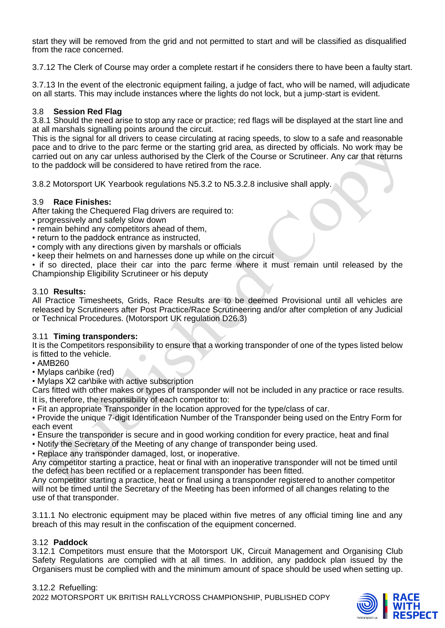start they will be removed from the grid and not permitted to start and will be classified as disqualified from the race concerned.

3.7.12 The Clerk of Course may order a complete restart if he considers there to have been a faulty start.

3.7.13 In the event of the electronic equipment failing, a judge of fact, who will be named, will adjudicate on all starts. This may include instances where the lights do not lock, but a jump-start is evident.

### 3.8 **Session Red Flag**

3.8.1 Should the need arise to stop any race or practice; red flags will be displayed at the start line and at all marshals signalling points around the circuit.

This is the signal for all drivers to cease circulating at racing speeds, to slow to a safe and reasonable pace and to drive to the parc ferme or the starting grid area, as directed by officials. No work may be carried out on any car unless authorised by the Clerk of the Course or Scrutineer. Any car that returns to the paddock will be considered to have retired from the race.

3.8.2 Motorsport UK Yearbook regulations N5.3.2 to N5.3.2.8 inclusive shall apply.

#### 3.9 **Race Finishes:**

After taking the Chequered Flag drivers are required to:

- progressively and safely slow down
- remain behind any competitors ahead of them,
- return to the paddock entrance as instructed,
- comply with any directions given by marshals or officials
- keep their helmets on and harnesses done up while on the circuit

• if so directed, place their car into the parc ferme where it must remain until released by the Championship Eligibility Scrutineer or his deputy

#### 3.10 **Results:**

All Practice Timesheets, Grids, Race Results are to be deemed Provisional until all vehicles are released by Scrutineers after Post Practice/Race Scrutineering and/or after completion of any Judicial or Technical Procedures. (Motorsport UK regulation D26.3)

#### 3.11 **Timing transponders:**

It is the Competitors responsibility to ensure that a working transponder of one of the types listed below is fitted to the vehicle.

- AMB260
- Mylaps car\bike (red)
- Mylaps X2 car\bike with active subscription

Cars fitted with other makes or types of transponder will not be included in any practice or race results. It is, therefore, the responsibility of each competitor to:

• Fit an appropriate Transponder in the location approved for the type/class of car.

• Provide the unique 7-digit Identification Number of the Transponder being used on the Entry Form for each event

• Ensure the transponder is secure and in good working condition for every practice, heat and final

• Notify the Secretary of the Meeting of any change of transponder being used.

• Replace any transponder damaged, lost, or inoperative.

Any competitor starting a practice, heat or final with an inoperative transponder will not be timed until the defect has been rectified or a replacement transponder has been fitted.

Any competitor starting a practice, heat or final using a transponder registered to another competitor will not be timed until the Secretary of the Meeting has been informed of all changes relating to the use of that transponder.

3.11.1 No electronic equipment may be placed within five metres of any official timing line and any breach of this may result in the confiscation of the equipment concerned.

# 3.12 **Paddock**

3.12.1 Competitors must ensure that the Motorsport UK, Circuit Management and Organising Club Safety Regulations are complied with at all times. In addition, any paddock plan issued by the Organisers must be complied with and the minimum amount of space should be used when setting up.

2022 MOTORSPORT UK BRITISH RALLYCROSS CHAMPIONSHIP, PUBLISHED COPY 3.12.2 Refuelling:

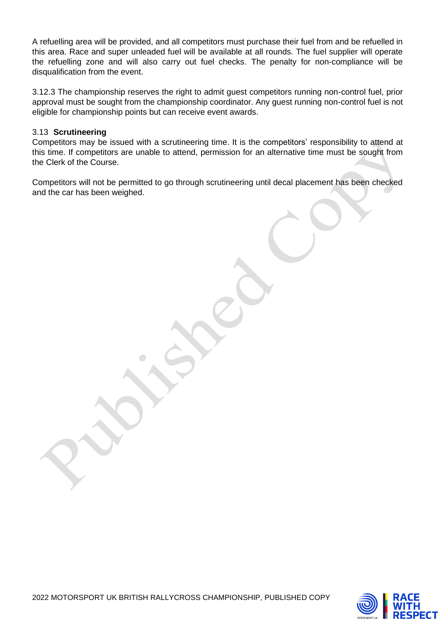A refuelling area will be provided, and all competitors must purchase their fuel from and be refuelled in this area. Race and super unleaded fuel will be available at all rounds. The fuel supplier will operate the refuelling zone and will also carry out fuel checks. The penalty for non-compliance will be disqualification from the event.

3.12.3 The championship reserves the right to admit guest competitors running non-control fuel, prior approval must be sought from the championship coordinator. Any guest running non-control fuel is not eligible for championship points but can receive event awards.

#### 3.13 **Scrutineering**

Competitors may be issued with a scrutineering time. It is the competitors' responsibility to attend at this time. If competitors are unable to attend, permission for an alternative time must be sought from the Clerk of the Course.

Competitors will not be permitted to go through scrutineering until decal placement has been checked and the car has been weighed.

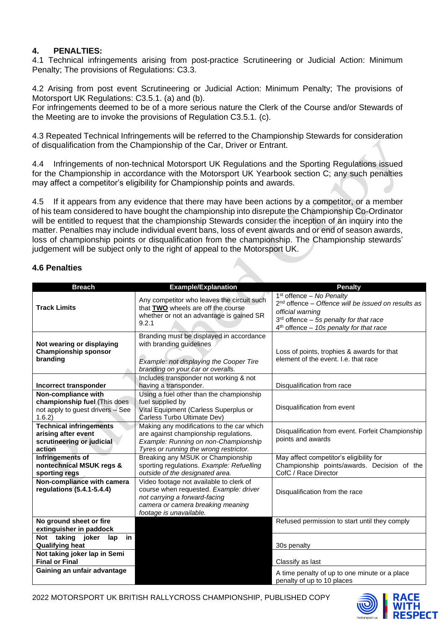# **4. PENALTIES:**

4.1 Technical infringements arising from post-practice Scrutineering or Judicial Action: Minimum Penalty; The provisions of Regulations: C3.3.

4.2 Arising from post event Scrutineering or Judicial Action: Minimum Penalty; The provisions of Motorsport UK Regulations: C3.5.1. (a) and (b).

For infringements deemed to be of a more serious nature the Clerk of the Course and/or Stewards of the Meeting are to invoke the provisions of Regulation C3.5.1. (c).

4.3 Repeated Technical Infringements will be referred to the Championship Stewards for consideration of disqualification from the Championship of the Car, Driver or Entrant.

4.4 Infringements of non-technical Motorsport UK Regulations and the Sporting Regulations issued for the Championship in accordance with the Motorsport UK Yearbook section C; any such penalties may affect a competitor's eligibility for Championship points and awards.

4.5 If it appears from any evidence that there may have been actions by a competitor, or a member of his team considered to have bought the championship into disrepute the Championship Co-Ordinator will be entitled to request that the championship Stewards consider the inception of an inquiry into the matter. Penalties may include individual event bans, loss of event awards and or end of season awards, loss of championship points or disqualification from the championship. The Championship stewards' judgement will be subject only to the right of appeal to the Motorsport UK.

### **4.6 Penalties**

| <b>Breach</b>                                                                                                      | <b>Example/Explanation</b>                                                                                                                                                         | <b>Penalty</b>                                                                                                                                                                                  |
|--------------------------------------------------------------------------------------------------------------------|------------------------------------------------------------------------------------------------------------------------------------------------------------------------------------|-------------------------------------------------------------------------------------------------------------------------------------------------------------------------------------------------|
| <b>Track Limits</b>                                                                                                | Any competitor who leaves the circuit such<br>that TWO wheels are off the course<br>whether or not an advantage is gained SR<br>9.2.1                                              | $1st$ offence – No Penalty<br>$2nd$ offence – Offence will be issued on results as<br>official warning<br>$3rd$ offence - 5s penalty for that race<br>$4th$ offence - 10s penalty for that race |
| Not wearing or displaying<br><b>Championship sponsor</b><br>branding                                               | Branding must be displayed in accordance<br>with branding guidelines<br>Example: not displaying the Cooper Tire<br>branding on your car or overalls.                               | Loss of points, trophies & awards for that<br>element of the event. I.e. that race                                                                                                              |
|                                                                                                                    | Includes transponder not working & not                                                                                                                                             | Disqualification from race                                                                                                                                                                      |
| Incorrect transponder<br>Non-compliance with                                                                       | having a transponder.<br>Using a fuel other than the championship                                                                                                                  |                                                                                                                                                                                                 |
| championship fuel (This does<br>not apply to guest drivers - See<br>1.6.2                                          | fuel supplied by<br>Vital Equipment (Carless Superplus or<br>Carless Turbo Ultimate Dev)                                                                                           | Disqualification from event                                                                                                                                                                     |
| <b>Technical infringements</b><br>arising after event<br>scrutineering or judicial<br>action                       | Making any modifications to the car which<br>are against championship regulations.<br>Example: Running on non-Championship<br>Tyres or running the wrong restrictor.               | Disqualification from event. Forfeit Championship<br>points and awards                                                                                                                          |
| Infringements of<br>nontechnical MSUK regs &<br>sporting regs                                                      | Breaking any MSUK or Championship<br>sporting regulations. Example: Refuelling<br>outside of the designated area.                                                                  | May affect competitor's eligibility for<br>Championship points/awards. Decision of the<br>CofC / Race Director                                                                                  |
| Non-compliance with camera<br>regulations (5.4.1-5.4.4)                                                            | Video footage not available to clerk of<br>course when requested. Example: driver<br>not carrying a forward-facing<br>camera or camera breaking meaning<br>footage is unavailable. | Disqualification from the race                                                                                                                                                                  |
| No ground sheet or fire                                                                                            |                                                                                                                                                                                    | Refused permission to start until they comply                                                                                                                                                   |
| extinguisher in paddock<br>Not taking joker<br>in<br>lap<br><b>Qualifying heat</b><br>Not taking joker lap in Semi |                                                                                                                                                                                    | 30s penalty                                                                                                                                                                                     |
| <b>Final or Final</b>                                                                                              |                                                                                                                                                                                    | Classify as last                                                                                                                                                                                |
| Gaining an unfair advantage                                                                                        |                                                                                                                                                                                    | A time penalty of up to one minute or a place<br>penalty of up to 10 places                                                                                                                     |

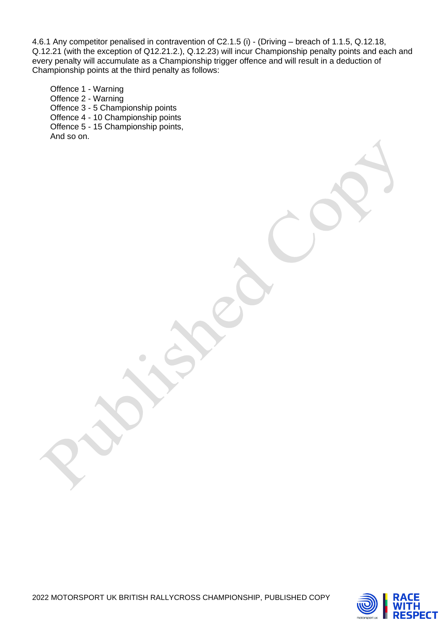4.6.1 Any competitor penalised in contravention of C2.1.5 (i) - (Driving – breach of 1.1.5, Q.12.18, Q.12.21 (with the exception of Q12.21.2.), Q.12.23) will incur Championship penalty points and each and every penalty will accumulate as a Championship trigger offence and will result in a deduction of Championship points at the third penalty as follows:

Offence 1 - Warning Offence 2 - Warning Offence 3 - 5 Championship points Offence 4 - 10 Championship points Offence 5 - 15 Championship points, And so on.

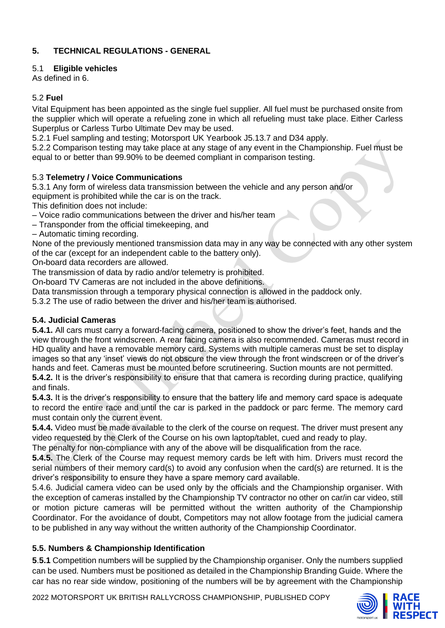# **5. TECHNICAL REGULATIONS - GENERAL**

# 5.1 **Eligible vehicles**

As defined in 6.

# 5.2 **Fuel**

Vital Equipment has been appointed as the single fuel supplier. All fuel must be purchased onsite from the supplier which will operate a refueling zone in which all refueling must take place. Either Carless Superplus or Carless Turbo Ultimate Dev may be used.

5.2.1 Fuel sampling and testing; Motorsport UK Yearbook J5.13.7 and D34 apply.

5.2.2 Comparison testing may take place at any stage of any event in the Championship. Fuel must be equal to or better than 99.90% to be deemed compliant in comparison testing.

# 5.3 **Telemetry / Voice Communications**

5.3.1 Any form of wireless data transmission between the vehicle and any person and/or equipment is prohibited while the car is on the track.

This definition does not include:

- Voice radio communications between the driver and his/her team
- Transponder from the official timekeeping, and
- Automatic timing recording.

None of the previously mentioned transmission data may in any way be connected with any other system of the car (except for an independent cable to the battery only).

On**‐**board data recorders are allowed.

The transmission of data by radio and/or telemetry is prohibited.

On**‐**board TV Cameras are not included in the above definitions.

Data transmission through a temporary physical connection is allowed in the paddock only.

5.3.2 The use of radio between the driver and his/her team is authorised.

# **5.4. Judicial Cameras**

**5.4.1.** All cars must carry a forward-facing camera, positioned to show the driver's feet, hands and the view through the front windscreen. A rear facing camera is also recommended. Cameras must record in HD quality and have a removable memory card. Systems with multiple cameras must be set to display images so that any 'inset' views do not obscure the view through the front windscreen or of the driver's hands and feet. Cameras must be mounted before scrutineering. Suction mounts are not permitted. **5.4.2.** It is the driver's responsibility to ensure that that camera is recording during practice, qualifying

and finals.

**5.4.3.** It is the driver's responsibility to ensure that the battery life and memory card space is adequate to record the entire race and until the car is parked in the paddock or parc ferme. The memory card must contain only the current event.

**5.4.4.** Video must be made available to the clerk of the course on request. The driver must present any video requested by the Clerk of the Course on his own laptop/tablet, cued and ready to play.

The penalty for non-compliance with any of the above will be disqualification from the race.

**5.4.5.** The Clerk of the Course may request memory cards be left with him. Drivers must record the serial numbers of their memory card(s) to avoid any confusion when the card(s) are returned. It is the driver's responsibility to ensure they have a spare memory card available.

5.4.6. Judicial camera video can be used only by the officials and the Championship organiser. With the exception of cameras installed by the Championship TV contractor no other on car/in car video, still or motion picture cameras will be permitted without the written authority of the Championship Coordinator. For the avoidance of doubt, Competitors may not allow footage from the judicial camera to be published in any way without the written authority of the Championship Coordinator.

# **5.5. Numbers & Championship Identification**

**5**.**5.1** Competition numbers will be supplied by the Championship organiser. Only the numbers supplied can be used. Numbers must be positioned as detailed in the Championship Branding Guide. Where the car has no rear side window, positioning of the numbers will be by agreement with the Championship

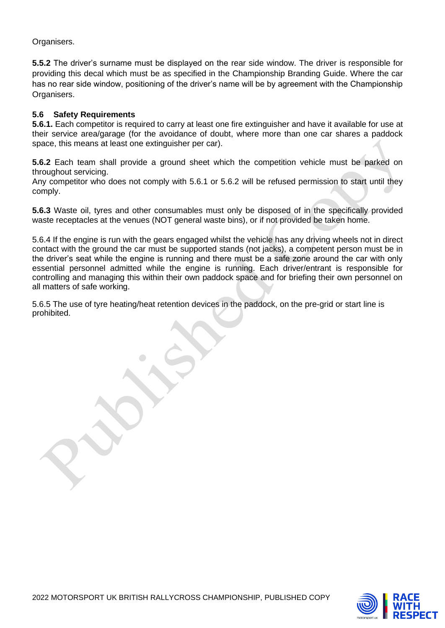Organisers.

**5.5.2** The driver's surname must be displayed on the rear side window. The driver is responsible for providing this decal which must be as specified in the Championship Branding Guide. Where the car has no rear side window, positioning of the driver's name will be by agreement with the Championship Organisers.

## **5.6 Safety Requirements**

**5.6.1.** Each competitor is required to carry at least one fire extinguisher and have it available for use at their service area/garage (for the avoidance of doubt, where more than one car shares a paddock space, this means at least one extinguisher per car).

**5.6.2** Each team shall provide a ground sheet which the competition vehicle must be parked on throughout servicing.

Any competitor who does not comply with 5.6.1 or 5.6.2 will be refused permission to start until they comply.

**5.6.3** Waste oil, tyres and other consumables must only be disposed of in the specifically provided waste receptacles at the venues (NOT general waste bins), or if not provided be taken home.

5.6.4 If the engine is run with the gears engaged whilst the vehicle has any driving wheels not in direct contact with the ground the car must be supported stands (not jacks), a competent person must be in the driver's seat while the engine is running and there must be a safe zone around the car with only essential personnel admitted while the engine is running. Each driver/entrant is responsible for controlling and managing this within their own paddock space and for briefing their own personnel on all matters of safe working.

5.6.5 The use of tyre heating/heat retention devices in the paddock, on the pre-grid or start line is prohibited.

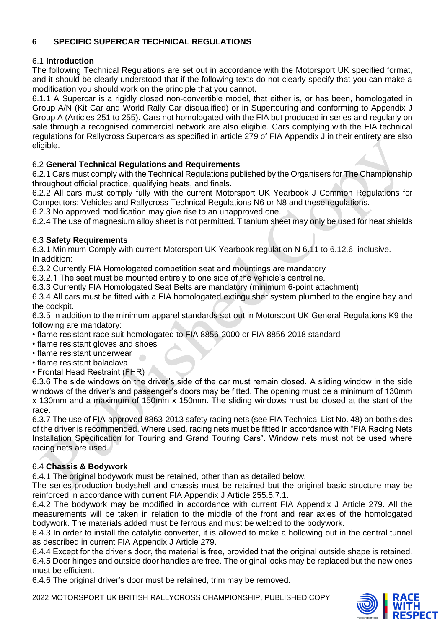# **6 SPECIFIC SUPERCAR TECHNICAL REGULATIONS**

# 6.1 **Introduction**

The following Technical Regulations are set out in accordance with the Motorsport UK specified format, and it should be clearly understood that if the following texts do not clearly specify that you can make a modification you should work on the principle that you cannot.

6.1.1 A Supercar is a rigidly closed non-convertible model, that either is, or has been, homologated in Group A/N (Kit Car and World Rally Car disqualified) or in Supertouring and conforming to Appendix J Group A (Articles 251 to 255). Cars not homologated with the FIA but produced in series and regularly on sale through a recognised commercial network are also eligible. Cars complying with the FIA technical regulations for Rallycross Supercars as specified in article 279 of FIA Appendix J in their entirety are also eligible.

# 6.2 **General Technical Regulations and Requirements**

6.2.1 Cars must comply with the Technical Regulations published by the Organisers for The Championship throughout official practice, qualifying heats, and finals.

6.2.2 All cars must comply fully with the current Motorsport UK Yearbook J Common Regulations for Competitors: Vehicles and Rallycross Technical Regulations N6 or N8 and these regulations.

6.2.3 No approved modification may give rise to an unapproved one.

6.2.4 The use of magnesium alloy sheet is not permitted. Titanium sheet may only be used for heat shields

# 6.3 **Safety Requirements**

6.3.1 Minimum Comply with current Motorsport UK Yearbook regulation N 6.11 to 6.12.6. inclusive. In addition:

6.3.2 Currently FIA Homologated competition seat and mountings are mandatory

6.3.2.1 The seat must be mounted entirely to one side of the vehicle's centreline.

6.3.3 Currently FIA Homologated Seat Belts are mandatory (minimum 6-point attachment).

6.3.4 All cars must be fitted with a FIA homologated extinguisher system plumbed to the engine bay and the cockpit.

6.3.5 In addition to the minimum apparel standards set out in Motorsport UK General Regulations K9 the following are mandatory:

• flame resistant race suit homologated to FIA 8856-2000 or FIA 8856-2018 standard

- flame resistant gloves and shoes
- flame resistant underwear
- flame resistant balaclava
- Frontal Head Restraint (FHR)

6.3.6 The side windows on the driver's side of the car must remain closed. A sliding window in the side windows of the driver's and passenger's doors may be fitted. The opening must be a minimum of 130mm x 130mm and a maximum of 150mm x 150mm. The sliding windows must be closed at the start of the race.

6.3.7 The use of FIA-approved 8863-2013 safety racing nets (see FIA Technical List No. 48) on both sides of the driver is recommended. Where used, racing nets must be fitted in accordance with "FIA Racing Nets Installation Specification for Touring and Grand Touring Cars". Window nets must not be used where racing nets are used.

# 6.4 **Chassis & Bodywork**

6.4.1 The original bodywork must be retained, other than as detailed below.

The series-production bodyshell and chassis must be retained but the original basic structure may be reinforced in accordance with current FIA Appendix J Article 255.5.7.1.

6.4.2 The bodywork may be modified in accordance with current FIA Appendix J Article 279. All the measurements will be taken in relation to the middle of the front and rear axles of the homologated bodywork. The materials added must be ferrous and must be welded to the bodywork.

6.4.3 In order to install the catalytic converter, it is allowed to make a hollowing out in the central tunnel as described in current FIA Appendix J Article 279.

6.4.4 Except for the driver's door, the material is free, provided that the original outside shape is retained. 6.4.5 Door hinges and outside door handles are free. The original locks may be replaced but the new ones must be efficient.

6.4.6 The original driver's door must be retained, trim may be removed.

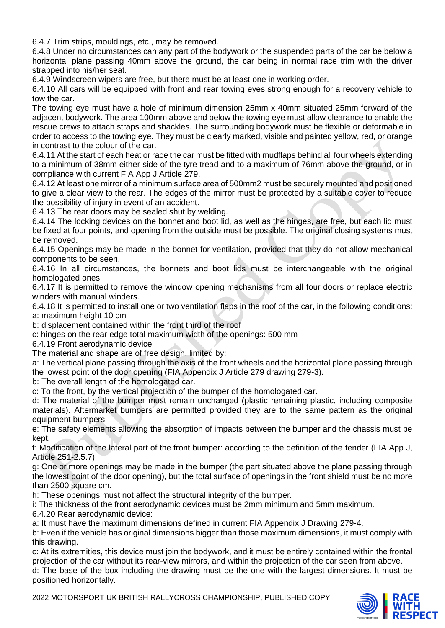6.4.7 Trim strips, mouldings, etc., may be removed.

6.4.8 Under no circumstances can any part of the bodywork or the suspended parts of the car be below a horizontal plane passing 40mm above the ground, the car being in normal race trim with the driver strapped into his/her seat.

6.4.9 Windscreen wipers are free, but there must be at least one in working order.

6.4.10 All cars will be equipped with front and rear towing eyes strong enough for a recovery vehicle to tow the car.

The towing eye must have a hole of minimum dimension 25mm x 40mm situated 25mm forward of the adjacent bodywork. The area 100mm above and below the towing eye must allow clearance to enable the rescue crews to attach straps and shackles. The surrounding bodywork must be flexible or deformable in order to access to the towing eye. They must be clearly marked, visible and painted yellow, red, or orange in contrast to the colour of the car.

6.4.11 At the start of each heat or race the car must be fitted with mudflaps behind all four wheels extending to a minimum of 38mm either side of the tyre tread and to a maximum of 76mm above the ground, or in compliance with current FIA App J Article 279.

6.4.12 At least one mirror of a minimum surface area of 500mm2 must be securely mounted and positioned to give a clear view to the rear. The edges of the mirror must be protected by a suitable cover to reduce the possibility of injury in event of an accident.

6.4.13 The rear doors may be sealed shut by welding.

6.4.14 The locking devices on the bonnet and boot lid, as well as the hinges, are free, but each lid must be fixed at four points, and opening from the outside must be possible. The original closing systems must be removed.

6.4.15 Openings may be made in the bonnet for ventilation, provided that they do not allow mechanical components to be seen.

6.4.16 In all circumstances, the bonnets and boot lids must be interchangeable with the original homologated ones.

6.4.17 It is permitted to remove the window opening mechanisms from all four doors or replace electric winders with manual winders.

6.4.18 It is permitted to install one or two ventilation flaps in the roof of the car, in the following conditions: a: maximum height 10 cm

b: displacement contained within the front third of the roof

c: hinges on the rear edge total maximum width of the openings: 500 mm

6.4.19 Front aerodynamic device

The material and shape are of free design, limited by:

a: The vertical plane passing through the axis of the front wheels and the horizontal plane passing through the lowest point of the door opening (FIA Appendix J Article 279 drawing 279-3).

b: The overall length of the homologated car.

c: To the front, by the vertical projection of the bumper of the homologated car.

d: The material of the bumper must remain unchanged (plastic remaining plastic, including composite materials). Aftermarket bumpers are permitted provided they are to the same pattern as the original equipment bumpers.

e: The safety elements allowing the absorption of impacts between the bumper and the chassis must be kept.

f: Modification of the lateral part of the front bumper: according to the definition of the fender (FIA App J, Article 251-2.5.7).

g: One or more openings may be made in the bumper (the part situated above the plane passing through the lowest point of the door opening), but the total surface of openings in the front shield must be no more than 2500 square cm.

h: These openings must not affect the structural integrity of the bumper.

i: The thickness of the front aerodynamic devices must be 2mm minimum and 5mm maximum.

6.4.20 Rear aerodynamic device:

a: It must have the maximum dimensions defined in current FIA Appendix J Drawing 279-4.

b: Even if the vehicle has original dimensions bigger than those maximum dimensions, it must comply with this drawing.

c: At its extremities, this device must join the bodywork, and it must be entirely contained within the frontal projection of the car without its rear-view mirrors, and within the projection of the car seen from above. d: The base of the box including the drawing must be the one with the largest dimensions. It must be positioned horizontally.

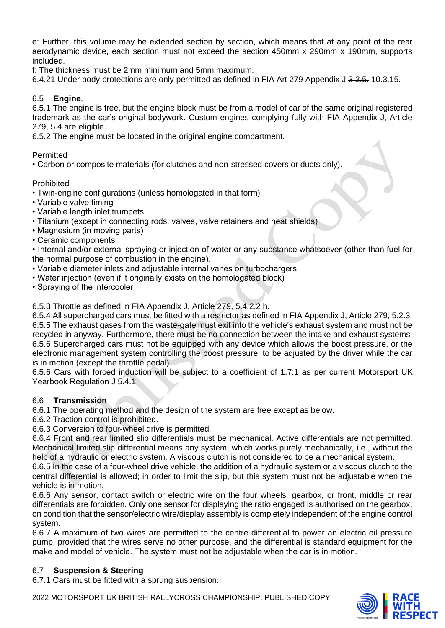e: Further, this volume may be extended section by section, which means that at any point of the rear aerodynamic device, each section must not exceed the section 450mm x 290mm x 190mm, supports included.

f: The thickness must be 2mm minimum and 5mm maximum.

6.4.21 Under body protections are only permitted as defined in FIA Art 279 Appendix J 3.2.5. 10.3.15.

## 6.5 **Engine**.

6.5.1 The engine is free, but the engine block must be from a model of car of the same original registered trademark as the car's original bodywork. Custom engines complying fully with FIA Appendix J, Article 279, 5.4 are eligible.

6.5.2 The engine must be located in the original engine compartment.

**Permitted** 

• Carbon or composite materials (for clutches and non-stressed covers or ducts only).

Prohibited

• Twin-engine configurations (unless homologated in that form)

- Variable valve timing
- Variable length inlet trumpets
- Titanium (except in connecting rods, valves, valve retainers and heat shields)
- Magnesium (in moving parts)
- Ceramic components

• Internal and/or external spraying or injection of water or any substance whatsoever (other than fuel for the normal purpose of combustion in the engine).

- Variable diameter inlets and adjustable internal vanes on turbochargers
- Water injection (even if it originally exists on the homologated block)
- Spraying of the intercooler

6.5.3 Throttle as defined in FIA Appendix J, Article 279, 5.4.2.2 h.

6.5.4 All supercharged cars must be fitted with a restrictor as defined in FIA Appendix J, Article 279, 5.2.3. 6.5.5 The exhaust gases from the waste-gate must exit into the vehicle's exhaust system and must not be recycled in anyway. Furthermore, there must be no connection between the intake and exhaust systems 6.5.6 Supercharged cars must not be equipped with any device which allows the boost pressure, or the electronic management system controlling the boost pressure, to be adjusted by the driver while the car is in motion (except the throttle pedal).

6.5.6 Cars with forced induction will be subject to a coefficient of 1.7:1 as per current Motorsport UK Yearbook Regulation J 5.4.1

#### 6.6 **Transmission**

6.6.1 The operating method and the design of the system are free except as below.

6.6.2 Traction control is prohibited.

6.6.3 Conversion to four-wheel drive is permitted.

6.6.4 Front and rear limited slip differentials must be mechanical. Active differentials are not permitted. Mechanical limited slip differential means any system, which works purely mechanically, i.e., without the help of a hydraulic or electric system. A viscous clutch is not considered to be a mechanical system.

6.6.5 In the case of a four-wheel drive vehicle, the addition of a hydraulic system or a viscous clutch to the central differential is allowed; in order to limit the slip, but this system must not be adjustable when the vehicle is in motion.

6.6.6 Any sensor, contact switch or electric wire on the four wheels, gearbox, or front, middle or rear differentials are forbidden. Only one sensor for displaying the ratio engaged is authorised on the gearbox, on condition that the sensor/electric wire/display assembly is completely independent of the engine control system.

6.6.7 A maximum of two wires are permitted to the centre differential to power an electric oil pressure pump, provided that the wires serve no other purpose, and the differential is standard equipment for the make and model of vehicle. The system must not be adjustable when the car is in motion.

# 6.7 **Suspension & Steering**

6.7.1 Cars must be fitted with a sprung suspension.

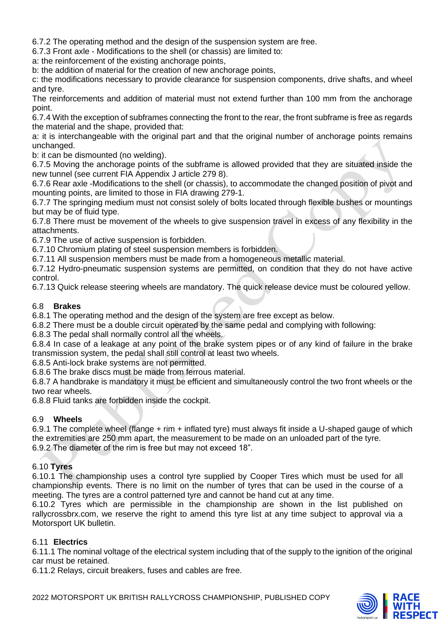6.7.2 The operating method and the design of the suspension system are free.

6.7.3 Front axle - Modifications to the shell (or chassis) are limited to:

a: the reinforcement of the existing anchorage points,

b: the addition of material for the creation of new anchorage points,

c: the modifications necessary to provide clearance for suspension components, drive shafts, and wheel and tyre.

The reinforcements and addition of material must not extend further than 100 mm from the anchorage point.

6.7.4 With the exception of subframes connecting the front to the rear, the front subframe is free as regards the material and the shape, provided that:

a: it is interchangeable with the original part and that the original number of anchorage points remains unchanged.

b: it can be dismounted (no welding).

6.7.5 Moving the anchorage points of the subframe is allowed provided that they are situated inside the new tunnel (see current FIA Appendix J article 279 8).

6.7.6 Rear axle -Modifications to the shell (or chassis), to accommodate the changed position of pivot and mounting points, are limited to those in FIA drawing 279-1.

6.7.7 The springing medium must not consist solely of bolts located through flexible bushes or mountings but may be of fluid type.

6.7.8 There must be movement of the wheels to give suspension travel in excess of any flexibility in the attachments.

6.7.9 The use of active suspension is forbidden.

6.7.10 Chromium plating of steel suspension members is forbidden.

6.7.11 All suspension members must be made from a homogeneous metallic material.

6.7.12 Hydro-pneumatic suspension systems are permitted, on condition that they do not have active control.

6.7.13 Quick release steering wheels are mandatory. The quick release device must be coloured yellow.

# 6.8 **Brakes**

6.8.1 The operating method and the design of the system are free except as below.

6.8.2 There must be a double circuit operated by the same pedal and complying with following:

6.8.3 The pedal shall normally control all the wheels.

6.8.4 In case of a leakage at any point of the brake system pipes or of any kind of failure in the brake transmission system, the pedal shall still control at least two wheels.

6.8.5 Anti-lock brake systems are not permitted.

6.8.6 The brake discs must be made from ferrous material.

6.8.7 A handbrake is mandatory it must be efficient and simultaneously control the two front wheels or the two rear wheels.

6.8.8 Fluid tanks are forbidden inside the cockpit.

# 6.9 **Wheels**

6.9.1 The complete wheel (flange + rim + inflated tyre) must always fit inside a U-shaped gauge of which the extremities are 250 mm apart, the measurement to be made on an unloaded part of the tyre. 6.9.2 The diameter of the rim is free but may not exceed 18".

#### 6.10 **Tyres**

6.10.1 The championship uses a control tyre supplied by Cooper Tires which must be used for all championship events. There is no limit on the number of tyres that can be used in the course of a meeting. The tyres are a control patterned tyre and cannot be hand cut at any time.

6.10.2 Tyres which are permissible in the championship are shown in the list published on rallycrossbrx.com, we reserve the right to amend this tyre list at any time subject to approval via a Motorsport UK bulletin.

# 6.11 **Electrics**

6.11.1 The nominal voltage of the electrical system including that of the supply to the ignition of the original car must be retained.

6.11.2 Relays, circuit breakers, fuses and cables are free.

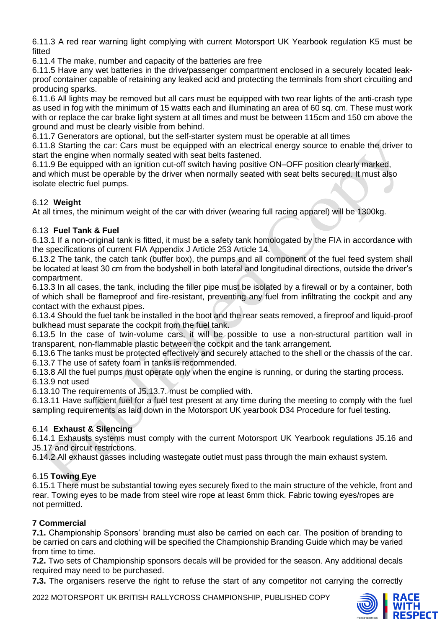6.11.3 A red rear warning light complying with current Motorsport UK Yearbook regulation K5 must be fitted

6.11.4 The make, number and capacity of the batteries are free

6.11.5 Have any wet batteries in the drive/passenger compartment enclosed in a securely located leakproof container capable of retaining any leaked acid and protecting the terminals from short circuiting and producing sparks.

6.11.6 All lights may be removed but all cars must be equipped with two rear lights of the anti-crash type as used in fog with the minimum of 15 watts each and illuminating an area of 60 sq. cm. These must work with or replace the car brake light system at all times and must be between 115cm and 150 cm above the ground and must be clearly visible from behind.

6.11.7 Generators are optional, but the self-starter system must be operable at all times

6.11.8 Starting the car: Cars must be equipped with an electrical energy source to enable the driver to start the engine when normally seated with seat belts fastened.

6.11.9 Be equipped with an ignition cut-off switch having positive ON–OFF position clearly marked, and which must be operable by the driver when normally seated with seat belts secured. It must also isolate electric fuel pumps.

# 6.12 **Weight**

At all times, the minimum weight of the car with driver (wearing full racing apparel) will be 1300kg.

# 6.13 **Fuel Tank & Fuel**

6.13.1 If a non-original tank is fitted, it must be a safety tank homologated by the FIA in accordance with the specifications of current FIA Appendix J Article 253 Article 14.

6.13.2 The tank, the catch tank (buffer box), the pumps and all component of the fuel feed system shall be located at least 30 cm from the bodyshell in both lateral and longitudinal directions, outside the driver's compartment.

6.13.3 In all cases, the tank, including the filler pipe must be isolated by a firewall or by a container, both of which shall be flameproof and fire-resistant, preventing any fuel from infiltrating the cockpit and any contact with the exhaust pipes.

6.13.4 Should the fuel tank be installed in the boot and the rear seats removed, a fireproof and liquid-proof bulkhead must separate the cockpit from the fuel tank.

6.13.5 In the case of twin-volume cars, it will be possible to use a non-structural partition wall in transparent, non-flammable plastic between the cockpit and the tank arrangement.

6.13.6 The tanks must be protected effectively and securely attached to the shell or the chassis of the car. 6.13.7 The use of safety foam in tanks is recommended.

6.13.8 All the fuel pumps must operate only when the engine is running, or during the starting process. 6.13.9 not used

6.13.10 The requirements of J5.13.7. must be complied with.

6.13.11 Have sufficient fuel for a fuel test present at any time during the meeting to comply with the fuel sampling requirements as laid down in the Motorsport UK yearbook D34 Procedure for fuel testing.

# 6.14 **Exhaust & Silencing**

6.14.1 Exhausts systems must comply with the current Motorsport UK Yearbook regulations J5.16 and J5.17 and circuit restrictions.

6.14.2 All exhaust gasses including wastegate outlet must pass through the main exhaust system.

# 6.15 **Towing Eye**

6.15.1 There must be substantial towing eyes securely fixed to the main structure of the vehicle, front and rear. Towing eyes to be made from steel wire rope at least 6mm thick. Fabric towing eyes/ropes are not permitted.

# **7 Commercial**

**7.1.** Championship Sponsors' branding must also be carried on each car. The position of branding to be carried on cars and clothing will be specified the Championship Branding Guide which may be varied from time to time.

**7.2.** Two sets of Championship sponsors decals will be provided for the season. Any additional decals required may need to be purchased.

**7.3.** The organisers reserve the right to refuse the start of any competitor not carrying the correctly

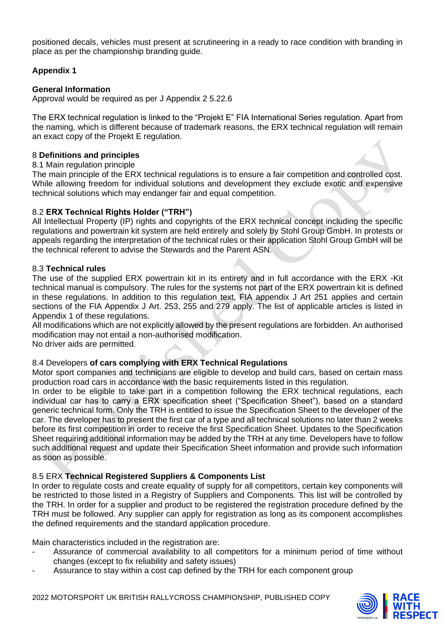positioned decals, vehicles must present at scrutineering in a ready to race condition with branding in place as per the championship branding guide.

### **Appendix 1**

#### **General Information**

Approval would be required as per J Appendix 2 5.22.6

The ERX technical regulation is linked to the "Projekt E" FIA International Series regulation. Apart from the naming, which is different because of trademark reasons, the ERX technical regulation will remain an exact copy of the Projekt E regulation.

#### 8 **Definitions and principles**

#### 8.1 Main regulation principle

The main principle of the ERX technical regulations is to ensure a fair competition and controlled cost. While allowing freedom for individual solutions and development they exclude exotic and expensive technical solutions which may endanger fair and equal competition.

#### 8.2 **ERX Technical Rights Holder ("TRH")**

All Intellectual Property (IP) rights and copyrights of the ERX technical concept including the specific regulations and powertrain kit system are held entirely and solely by Stohl Group GmbH. In protests or appeals regarding the interpretation of the technical rules or their application Stohl Group GmbH will be the technical referent to advise the Stewards and the Parent ASN.

#### 8.3 **Technical rules**

The use of the supplied ERX powertrain kit in its entirety and in full accordance with the ERX -Kit technical manual is compulsory. The rules for the systems not part of the ERX powertrain kit is defined in these regulations. In addition to this regulation text, FIA appendix J Art 251 applies and certain sections of the FIA Appendix J Art. 253, 255 and 279 apply. The list of applicable articles is listed in Appendix 1 of these regulations.

All modifications which are not explicitly allowed by the present regulations are forbidden. An authorised modification may not entail a non-authorised modification.

No driver aids are permitted.

#### 8.4 Developers **of cars complying with ERX Technical Regulations**

Motor sport companies and technicians are eligible to develop and build cars, based on certain mass production road cars in accordance with the basic requirements listed in this regulation.

In order to be eligible to take part in a competition following the ERX technical regulations, each individual car has to carry a ERX specification sheet ("Specification Sheet"), based on a standard generic technical form. Only the TRH is entitled to issue the Specification Sheet to the developer of the car. The developer has to present the first car of a type and all technical solutions no later than 2 weeks before its first competition in order to receive the first Specification Sheet. Updates to the Specification Sheet requiring additional information may be added by the TRH at any time. Developers have to follow such additional request and update their Specification Sheet information and provide such information as soon as possible.

#### 8.5 ERX **Technical Registered Suppliers & Components List**

In order to regulate costs and create equality of supply for all competitors, certain key components will be restricted to those listed in a Registry of Suppliers and Components. This list will be controlled by the TRH. In order for a supplier and product to be registered the registration procedure defined by the TRH must be followed. Any supplier can apply for registration as long as its component accomplishes the defined requirements and the standard application procedure.

Main characteristics included in the registration are:

- Assurance of commercial availability to all competitors for a minimum period of time without changes (except to fix reliability and safety issues)
- Assurance to stay within a cost cap defined by the TRH for each component group



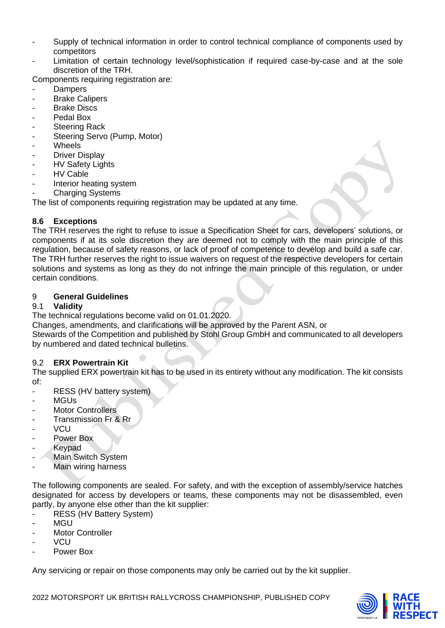- Supply of technical information in order to control technical compliance of components used by competitors
- Limitation of certain technology level/sophistication if required case-by-case and at the sole discretion of the TRH.

Components requiring registration are:

- Dampers
- Brake Calipers
- **Brake Discs**
- Pedal Box
- **Steering Rack**
- Steering Servo (Pump, Motor)
- **Wheels**
- **Driver Display**
- **HV Safety Lights**
- **HV Cable**
- Interior heating system
- **Charging Systems**

The list of components requiring registration may be updated at any time.

# **8.6 Exceptions**

The TRH reserves the right to refuse to issue a Specification Sheet for cars, developers' solutions, or components if at its sole discretion they are deemed not to comply with the main principle of this regulation, because of safety reasons, or lack of proof of competence to develop and build a safe car. The TRH further reserves the right to issue waivers on request of the respective developers for certain solutions and systems as long as they do not infringe the main principle of this regulation, or under certain conditions.

### 9 **General Guidelines**

### 9.1 **Validity**

The technical regulations become valid on 01.01.2020.

Changes, amendments, and clarifications will be approved by the Parent ASN, or

Stewards of the Competition and published by Stohl Group GmbH and communicated to all developers by numbered and dated technical bulletins.

#### 9.2 **ERX Powertrain Kit**

The supplied ERX powertrain kit has to be used in its entirety without any modification. The kit consists of:

- RESS (HV battery system)
- MGUs
- Motor Controllers
- Transmission Fr & Rr
- VCU
- Power Box
- **Keypad**
- Main Switch System
- Main wiring harness

The following components are sealed. For safety, and with the exception of assembly/service hatches designated for access by developers or teams, these components may not be disassembled, even partly, by anyone else other than the kit supplier:

- RESS (HV Battery System)
- MGU
- Motor Controller
- VCU
- Power Box

Any servicing or repair on those components may only be carried out by the kit supplier.

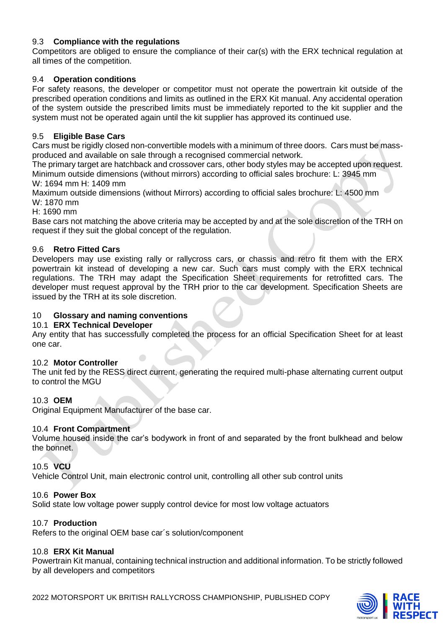# 9.3 **Compliance with the regulations**

Competitors are obliged to ensure the compliance of their car(s) with the ERX technical regulation at all times of the competition.

#### 9.4 **Operation conditions**

For safety reasons, the developer or competitor must not operate the powertrain kit outside of the prescribed operation conditions and limits as outlined in the ERX Kit manual. Any accidental operation of the system outside the prescribed limits must be immediately reported to the kit supplier and the system must not be operated again until the kit supplier has approved its continued use.

### 9.5 **Eligible Base Cars**

Cars must be rigidly closed non-convertible models with a minimum of three doors. Cars must be massproduced and available on sale through a recognised commercial network.

The primary target are hatchback and crossover cars, other body styles may be accepted upon request. Minimum outside dimensions (without mirrors) according to official sales brochure: L: 3945 mm W: 1694 mm H: 1409 mm

Maximum outside dimensions (without Mirrors) according to official sales brochure: L: 4500 mm W: 1870 mm

H: 1690 mm

Base cars not matching the above criteria may be accepted by and at the sole discretion of the TRH on request if they suit the global concept of the regulation.

### 9.6 **Retro Fitted Cars**

Developers may use existing rally or rallycross cars, or chassis and retro fit them with the ERX powertrain kit instead of developing a new car. Such cars must comply with the ERX technical regulations. The TRH may adapt the Specification Sheet requirements for retrofitted cars. The developer must request approval by the TRH prior to the car development. Specification Sheets are issued by the TRH at its sole discretion.

#### 10 **Glossary and naming conventions**

#### 10.1 **ERX Technical Developer**

Any entity that has successfully completed the process for an official Specification Sheet for at least one car.

#### 10.2 **Motor Controller**

The unit fed by the RESS direct current, generating the required multi-phase alternating current output to control the MGU

#### 10.3 **OEM**

Original Equipment Manufacturer of the base car.

#### 10.4 **Front Compartment**

Volume housed inside the car's bodywork in front of and separated by the front bulkhead and below the bonnet.

#### 10.5 **VCU**

Vehicle Control Unit, main electronic control unit, controlling all other sub control units

#### 10.6 **Power Box**

Solid state low voltage power supply control device for most low voltage actuators

#### 10.7 **Production**

Refers to the original OEM base car´s solution/component

# 10.8 **ERX Kit Manual**

Powertrain Kit manual, containing technical instruction and additional information. To be strictly followed by all developers and competitors

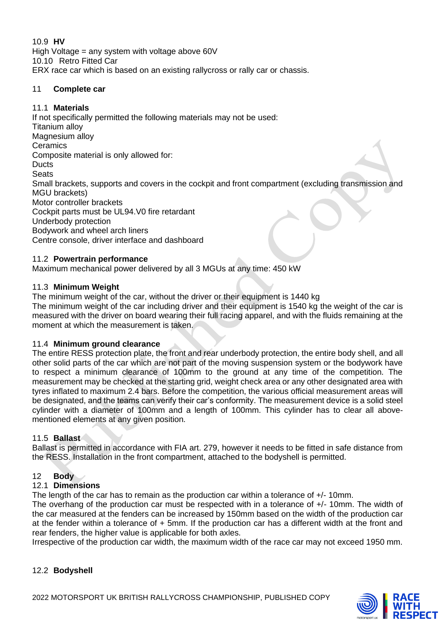10.9 **HV**  High Voltage = any system with voltage above 60V 10.10 Retro Fitted Car ERX race car which is based on an existing rallycross or rally car or chassis.

### 11 **Complete car**

# 11.1 **Materials**

If not specifically permitted the following materials may not be used: Titanium alloy Magnesium alloy **Ceramics** Composite material is only allowed for: **Ducts Seats** Small brackets, supports and covers in the cockpit and front compartment (excluding transmission and MGU brackets) Motor controller brackets Cockpit parts must be UL94.V0 fire retardant Underbody protection Bodywork and wheel arch liners Centre console, driver interface and dashboard

### 11.2 **Powertrain performance**

Maximum mechanical power delivered by all 3 MGUs at any time: 450 kW

### 11.3 **Minimum Weight**

The minimum weight of the car, without the driver or their equipment is 1440 kg

The minimum weight of the car including driver and their equipment is 1540 kg the weight of the car is measured with the driver on board wearing their full racing apparel, and with the fluids remaining at the moment at which the measurement is taken.

#### 11.4 **Minimum ground clearance**

The entire RESS protection plate, the front and rear underbody protection, the entire body shell, and all other solid parts of the car which are not part of the moving suspension system or the bodywork have to respect a minimum clearance of 100mm to the ground at any time of the competition. The measurement may be checked at the starting grid, weight check area or any other designated area with tyres inflated to maximum 2.4 bars. Before the competition, the various official measurement areas will be designated, and the teams can verify their car's conformity. The measurement device is a solid steel cylinder with a diameter of 100mm and a length of 100mm. This cylinder has to clear all abovementioned elements at any given position.

#### 11.5 **Ballast**

Ballast is permitted in accordance with FIA art. 279, however it needs to be fitted in safe distance from the RESS. Installation in the front compartment, attached to the bodyshell is permitted.

# 12 **Body**

# 12.1 **Dimensions**

The length of the car has to remain as the production car within a tolerance of +/- 10mm.

The overhang of the production car must be respected with in a tolerance of +/- 10mm. The width of the car measured at the fenders can be increased by 150mm based on the width of the production car at the fender within a tolerance of + 5mm. If the production car has a different width at the front and rear fenders, the higher value is applicable for both axles.

Irrespective of the production car width, the maximum width of the race car may not exceed 1950 mm.

# 12.2 **Bodyshell**

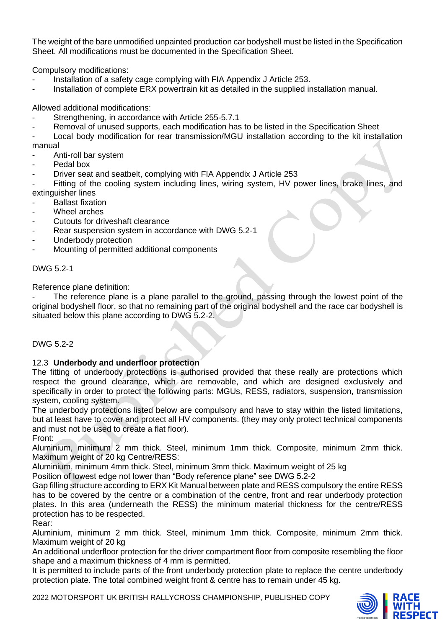The weight of the bare unmodified unpainted production car bodyshell must be listed in the Specification Sheet. All modifications must be documented in the Specification Sheet.

Compulsory modifications:

- Installation of a safety cage complying with FIA Appendix J Article 253.
- Installation of complete ERX powertrain kit as detailed in the supplied installation manual.

Allowed additional modifications:

- Strengthening, in accordance with Article 255-5.7.1
- Removal of unused supports, each modification has to be listed in the Specification Sheet

Local body modification for rear transmission/MGU installation according to the kit installation manual

- Anti-roll bar system
- Pedal box
- Driver seat and seatbelt, complying with FIA Appendix J Article 253

Fitting of the cooling system including lines, wiring system, HV power lines, brake lines, and extinguisher lines

- **Ballast fixation**
- Wheel arches
- Cutouts for driveshaft clearance
- Rear suspension system in accordance with DWG 5.2-1
- Underbody protection
- Mounting of permitted additional components

DWG 5.2-1

Reference plane definition:

The reference plane is a plane parallel to the ground, passing through the lowest point of the original bodyshell floor, so that no remaining part of the original bodyshell and the race car bodyshell is situated below this plane according to DWG 5.2-2.

#### DWG 5.2-2

#### 12.3 **Underbody and underfloor protection**

The fitting of underbody protections is authorised provided that these really are protections which respect the ground clearance, which are removable, and which are designed exclusively and specifically in order to protect the following parts: MGUs, RESS, radiators, suspension, transmission system, cooling system.

The underbody protections listed below are compulsory and have to stay within the listed limitations, but at least have to cover and protect all HV components. (they may only protect technical components and must not be used to create a flat floor).

Front:

Aluminium, minimum 2 mm thick. Steel, minimum 1mm thick. Composite, minimum 2mm thick. Maximum weight of 20 kg Centre/RESS:

Aluminium, minimum 4mm thick. Steel, minimum 3mm thick. Maximum weight of 25 kg

Position of lowest edge not lower than "Body reference plane" see DWG 5.2-2

Gap filling structure according to ERX Kit Manual between plate and RESS compulsory the entire RESS has to be covered by the centre or a combination of the centre, front and rear underbody protection plates. In this area (underneath the RESS) the minimum material thickness for the centre/RESS protection has to be respected.

Rear:

Aluminium, minimum 2 mm thick. Steel, minimum 1mm thick. Composite, minimum 2mm thick. Maximum weight of 20 kg

An additional underfloor protection for the driver compartment floor from composite resembling the floor shape and a maximum thickness of 4 mm is permitted.

It is permitted to include parts of the front underbody protection plate to replace the centre underbody protection plate. The total combined weight front & centre has to remain under 45 kg.

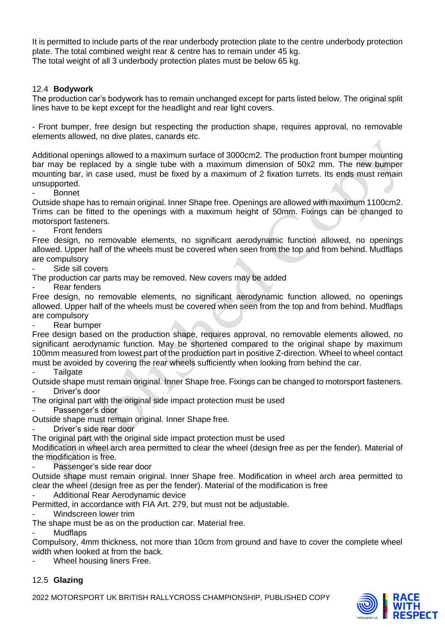It is permitted to include parts of the rear underbody protection plate to the centre underbody protection plate. The total combined weight rear & centre has to remain under 45 kg. The total weight of all 3 underbody protection plates must be below 65 kg.

#### 12.4 **Bodywork**

The production car's bodywork has to remain unchanged except for parts listed below. The original split lines have to be kept except for the headlight and rear light covers.

- Front bumper, free design but respecting the production shape, requires approval, no removable elements allowed, no dive plates, canards etc.

Additional openings allowed to a maximum surface of 3000cm2. The production front bumper mounting bar may be replaced by a single tube with a maximum dimension of 50x2 mm. The new bumper mounting bar, in case used, must be fixed by a maximum of 2 fixation turrets. Its ends must remain unsupported.

**Bonnet** 

Outside shape has to remain original. Inner Shape free. Openings are allowed with maximum 1100cm2. Trims can be fitted to the openings with a maximum height of 50mm. Fixings can be changed to motorsport fasteners.

Front fenders

Free design, no removable elements, no significant aerodynamic function allowed, no openings allowed. Upper half of the wheels must be covered when seen from the top and from behind. Mudflaps are compulsory

Side sill covers

The production car parts may be removed. New covers may be added

Rear fenders

Free design, no removable elements, no significant aerodynamic function allowed, no openings allowed. Upper half of the wheels must be covered when seen from the top and from behind. Mudflaps are compulsory

Rear bumper

Free design based on the production shape, requires approval, no removable elements allowed, no significant aerodynamic function. May be shortened compared to the original shape by maximum 100mm measured from lowest part of the production part in positive Z-direction. Wheel to wheel contact must be avoided by covering the rear wheels sufficiently when looking from behind the car.

**Tailgate** 

Outside shape must remain original. Inner Shape free. Fixings can be changed to motorsport fasteners. Driver's door

The original part with the original side impact protection must be used

Passenger's door

Outside shape must remain original. Inner Shape free.

Driver's side rear door

The original part with the original side impact protection must be used

Modification in wheel arch area permitted to clear the wheel (design free as per the fender). Material of the modification is free.

Passenger's side rear door

Outside shape must remain original. Inner Shape free. Modification in wheel arch area permitted to clear the wheel (design free as per the fender). Material of the modification is free

Additional Rear Aerodynamic device

Permitted, in accordance with FIA Art. 279, but must not be adjustable.

- Windscreen lower trim

The shape must be as on the production car. Material free.

**Mudflaps** 

Compulsory, 4mm thickness, not more than 10cm from ground and have to cover the complete wheel width when looked at from the back.

Wheel housing liners Free.

#### 12.5 **Glazing**

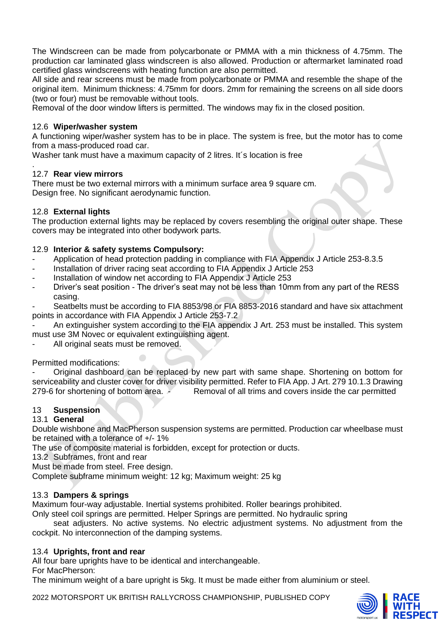The Windscreen can be made from polycarbonate or PMMA with a min thickness of 4.75mm. The production car laminated glass windscreen is also allowed. Production or aftermarket laminated road certified glass windscreens with heating function are also permitted.

All side and rear screens must be made from polycarbonate or PMMA and resemble the shape of the original item. Minimum thickness: 4.75mm for doors. 2mm for remaining the screens on all side doors (two or four) must be removable without tools.

Removal of the door window lifters is permitted. The windows may fix in the closed position.

### 12.6 **Wiper/washer system**

A functioning wiper/washer system has to be in place. The system is free, but the motor has to come from a mass-produced road car.

Washer tank must have a maximum capacity of 2 litres. It´s location is free

#### . 12.7 **Rear view mirrors**

There must be two external mirrors with a minimum surface area 9 square cm. Design free. No significant aerodynamic function.

# 12.8 **External lights**

The production external lights may be replaced by covers resembling the original outer shape. These covers may be integrated into other bodywork parts.

### 12.9 **Interior & safety systems Compulsory:**

- Application of head protection padding in compliance with FIA Appendix J Article 253-8.3.5
- Installation of driver racing seat according to FIA Appendix J Article 253
- Installation of window net according to FIA Appendix J Article 253
- Driver's seat position The driver's seat may not be less than 10mm from any part of the RESS casing.

Seatbelts must be according to FIA 8853/98 or FIA 8853-2016 standard and have six attachment points in accordance with FIA Appendix J Article 253-7.2

An extinguisher system according to the FIA appendix J Art. 253 must be installed. This system must use 3M Novec or equivalent extinguishing agent.

All original seats must be removed.

Permitted modifications:

Original dashboard can be replaced by new part with same shape. Shortening on bottom for serviceability and cluster cover for driver visibility permitted. Refer to FIA App. J Art. 279 10.1.3 Drawing 279-6 for shortening of bottom area. - Removal of all trims and covers inside the car permitted

# 13 **Suspension**

# 13.1 **General**

Double wishbone and MacPherson suspension systems are permitted. Production car wheelbase must be retained with a tolerance of +/- 1%

The use of composite material is forbidden, except for protection or ducts.

13.2 Subframes, front and rear

Must be made from steel. Free design.

Complete subframe minimum weight: 12 kg; Maximum weight: 25 kg

# 13.3 **Dampers & springs**

Maximum four-way adjustable. Inertial systems prohibited. Roller bearings prohibited.

Only steel coil springs are permitted. Helper Springs are permitted. No hydraulic spring

seat adjusters. No active systems. No electric adjustment systems. No adjustment from the cockpit. No interconnection of the damping systems.

#### 13.4 **Uprights, front and rear**

All four bare uprights have to be identical and interchangeable.

#### For MacPherson:

The minimum weight of a bare upright is 5kg. It must be made either from aluminium or steel.

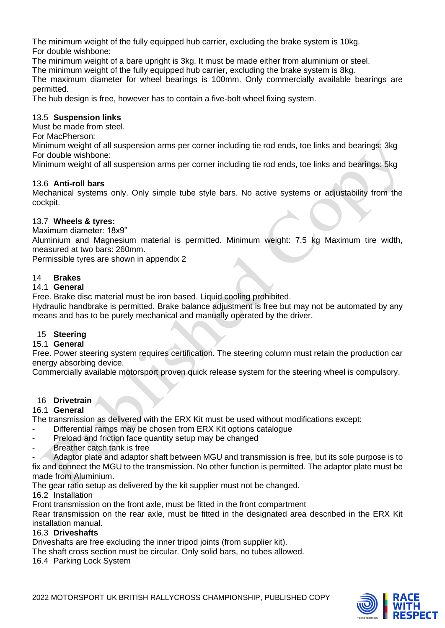The minimum weight of the fully equipped hub carrier, excluding the brake system is 10kg. For double wishbone:

The minimum weight of a bare upright is 3kg. It must be made either from aluminium or steel.

The minimum weight of the fully equipped hub carrier, excluding the brake system is 8kg.

The maximum diameter for wheel bearings is 100mm. Only commercially available bearings are permitted.

The hub design is free, however has to contain a five-bolt wheel fixing system.

# 13.5 **Suspension links**

Must be made from steel.

For MacPherson:

Minimum weight of all suspension arms per corner including tie rod ends, toe links and bearings: 3kg For double wishbone:

Minimum weight of all suspension arms per corner including tie rod ends, toe links and bearings: 5kg

### 13.6 **Anti-roll bars**

Mechanical systems only. Only simple tube style bars. No active systems or adjustability from the cockpit.

### 13.7 **Wheels & tyres:**

Maximum diameter: 18x9"

Aluminium and Magnesium material is permitted. Minimum weight: 7.5 kg Maximum tire width, measured at two bars: 260mm.

Permissible tyres are shown in appendix 2

### 14 **Brakes**

### 14.1 **General**

Free. Brake disc material must be iron based. Liquid cooling prohibited.

Hydraulic handbrake is permitted. Brake balance adjustment is free but may not be automated by any means and has to be purely mechanical and manually operated by the driver.

#### 15 **Steering**

#### 15.1 **General**

Free. Power steering system requires certification. The steering column must retain the production car energy absorbing device.

Commercially available motorsport proven quick release system for the steering wheel is compulsory.

#### 16 **Drivetrain**

#### 16.1 **General**

The transmission as delivered with the ERX Kit must be used without modifications except:

- Differential ramps may be chosen from ERX Kit options catalogue
- Preload and friction face quantity setup may be changed
- Breather catch tank is free

Adaptor plate and adaptor shaft between MGU and transmission is free, but its sole purpose is to fix and connect the MGU to the transmission. No other function is permitted. The adaptor plate must be made from Aluminium.

The gear ratio setup as delivered by the kit supplier must not be changed.

16.2 Installation

Front transmission on the front axle, must be fitted in the front compartment

Rear transmission on the rear axle, must be fitted in the designated area described in the ERX Kit installation manual.

#### 16.3 **Driveshafts**

Driveshafts are free excluding the inner tripod joints (from supplier kit).

The shaft cross section must be circular. Only solid bars, no tubes allowed.

16.4 Parking Lock System

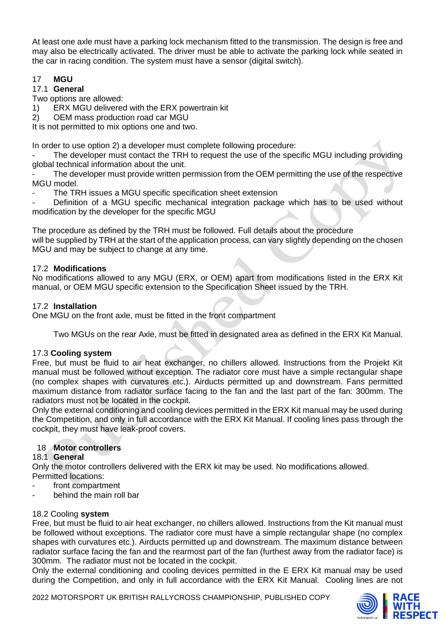At least one axle must have a parking lock mechanism fitted to the transmission. The design is free and may also be electrically activated. The driver must be able to activate the parking lock while seated in the car in racing condition. The system must have a sensor (digital switch).

# 17 **MGU**

# 17.1 **General**

Two options are allowed:

1) ERX MGU delivered with the ERX powertrain kit

2) OEM mass production road car MGU

It is not permitted to mix options one and two.

In order to use option 2) a developer must complete following procedure:

The developer must contact the TRH to request the use of the specific MGU including providing global technical information about the unit.

The developer must provide written permission from the OEM permitting the use of the respective MGU model.

The TRH issues a MGU specific specification sheet extension

Definition of a MGU specific mechanical integration package which has to be used without modification by the developer for the specific MGU

The procedure as defined by the TRH must be followed. Full details about the procedure will be supplied by TRH at the start of the application process, can vary slightly depending on the chosen MGU and may be subject to change at any time.

# 17.2 **Modifications**

No modifications allowed to any MGU (ERX, or OEM) apart from modifications listed in the ERX Kit manual, or OEM MGU specific extension to the Specification Sheet issued by the TRH.

# 17.2 **Installation**

One MGU on the front axle, must be fitted in the front compartment

Two MGUs on the rear Axle, must be fitted in designated area as defined in the ERX Kit Manual.

# 17.3 **Cooling system**

Free, but must be fluid to air heat exchanger, no chillers allowed. Instructions from the Projekt Kit manual must be followed without exception. The radiator core must have a simple rectangular shape (no complex shapes with curvatures etc.). Airducts permitted up and downstream. Fans permitted maximum distance from radiator surface facing to the fan and the last part of the fan: 300mm. The radiators must not be located in the cockpit.

Only the external conditioning and cooling devices permitted in the ERX Kit manual may be used during the Competition, and only in full accordance with the ERX Kit Manual. If cooling lines pass through the cockpit, they must have leak-proof covers.

# 18 **Motor controllers**

# 18.1 **General**

Only the motor controllers delivered with the ERX kit may be used. No modifications allowed. Permitted locations:

- front compartment
- behind the main roll bar

# 18.2 Cooling **system**

Free, but must be fluid to air heat exchanger, no chillers allowed. Instructions from the Kit manual must be followed without exceptions. The radiator core must have a simple rectangular shape (no complex shapes with curvatures etc.). Airducts permitted up and downstream. The maximum distance between radiator surface facing the fan and the rearmost part of the fan (furthest away from the radiator face) is 300mm. The radiator must not be located in the cockpit.

Only the external conditioning and cooling devices permitted in the E ERX Kit manual may be used during the Competition, and only in full accordance with the ERX Kit Manual. Cooling lines are not

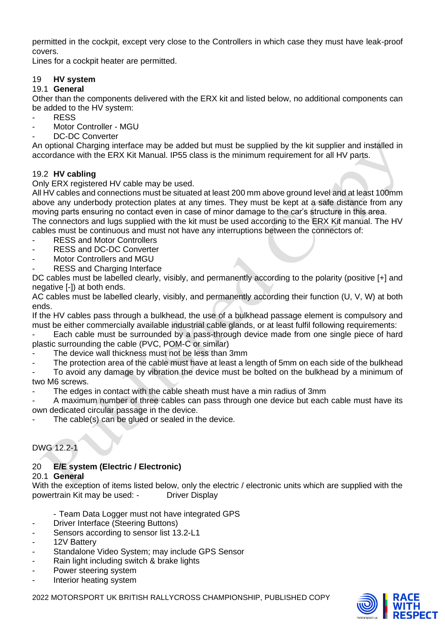permitted in the cockpit, except very close to the Controllers in which case they must have leak-proof covers.

Lines for a cockpit heater are permitted.

# 19 **HV system**

## 19.1 **General**

Other than the components delivered with the ERX kit and listed below, no additional components can be added to the HV system:

- RFSS
- Motor Controller MGU
- DC-DC Converter

An optional Charging interface may be added but must be supplied by the kit supplier and installed in accordance with the ERX Kit Manual. IP55 class is the minimum requirement for all HV parts.

### 19.2 **HV cabling**

Only ERX registered HV cable may be used.

All HV cables and connections must be situated at least 200 mm above ground level and at least 100mm above any underbody protection plates at any times. They must be kept at a safe distance from any moving parts ensuring no contact even in case of minor damage to the car's structure in this area. The connectors and lugs supplied with the kit must be used according to the ERX Kit manual. The HV cables must be continuous and must not have any interruptions between the connectors of:

- RESS and Motor Controllers
- RESS and DC-DC Converter
- Motor Controllers and MGU
- RESS and Charging Interface

DC cables must be labelled clearly, visibly, and permanently according to the polarity (positive [+] and negative [-]) at both ends.

AC cables must be labelled clearly, visibly, and permanently according their function (U, V, W) at both ends.

If the HV cables pass through a bulkhead, the use of a bulkhead passage element is compulsory and must be either commercially available industrial cable glands, or at least fulfil following requirements:

Each cable must be surrounded by a pass-through device made from one single piece of hard plastic surrounding the cable (PVC, POM-C or similar)

The device wall thickness must not be less than 3mm

The protection area of the cable must have at least a length of 5mm on each side of the bulkhead

To avoid any damage by vibration the device must be bolted on the bulkhead by a minimum of two M6 screws.

The edges in contact with the cable sheath must have a min radius of 3mm

A maximum number of three cables can pass through one device but each cable must have its own dedicated circular passage in the device.

The cable(s) can be glued or sealed in the device.

DWG 12.2-1

# 20 **E/E system (Electric / Electronic)**

#### 20.1 **General**

With the exception of items listed below, only the electric / electronic units which are supplied with the powertrain Kit may be used: - Driver Display

- Team Data Logger must not have integrated GPS

- Driver Interface (Steering Buttons)
- Sensors according to sensor list 13.2-L1
- 12V Battery
- Standalone Video System; may include GPS Sensor
- Rain light including switch & brake lights
- Power steering system
- Interior heating system

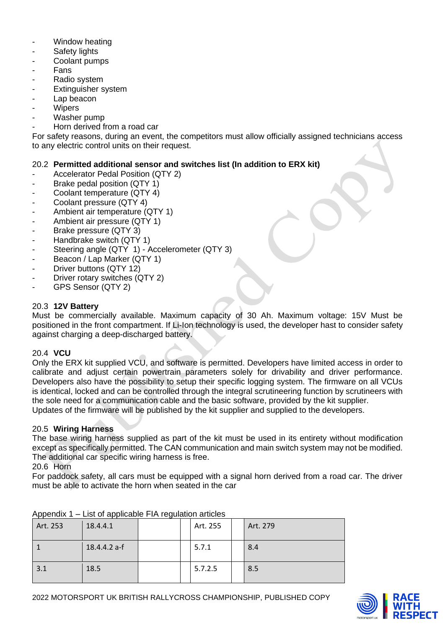- Window heating
- Safety lights
- Coolant pumps
- **Fans**
- Radio system
- Extinguisher system
- Lap beacon
- **Wipers**
- Washer pump
- Horn derived from a road car

For safety reasons, during an event, the competitors must allow officially assigned technicians access to any electric control units on their request.

# 20.2 **Permitted additional sensor and switches list (In addition to ERX kit)**

- Accelerator Pedal Position (QTY 2)
- Brake pedal position (QTY 1)
- Coolant temperature (QTY 4)
- Coolant pressure (QTY 4)
- Ambient air temperature (QTY 1)
- Ambient air pressure (QTY 1)
- Brake pressure (QTY 3)
- Handbrake switch (QTY 1)
- Steering angle (QTY 1) Accelerometer (QTY 3)
- Beacon / Lap Marker (QTY 1)
- Driver buttons (QTY 12)
- Driver rotary switches (QTY 2)
- GPS Sensor (QTY 2)

### 20.3 **12V Battery**

Must be commercially available. Maximum capacity of 30 Ah. Maximum voltage: 15V Must be positioned in the front compartment. If Li-Ion technology is used, the developer hast to consider safety against charging a deep-discharged battery.

#### 20.4 **VCU**

Only the ERX kit supplied VCU, and software is permitted. Developers have limited access in order to calibrate and adjust certain powertrain parameters solely for drivability and driver performance. Developers also have the possibility to setup their specific logging system. The firmware on all VCUs is identical, locked and can be controlled through the integral scrutineering function by scrutineers with the sole need for a communication cable and the basic software, provided by the kit supplier. Updates of the firmware will be published by the kit supplier and supplied to the developers.

#### 20.5 **Wiring Harness**

The base wiring harness supplied as part of the kit must be used in its entirety without modification except as specifically permitted. The CAN communication and main switch system may not be modified. The additional car specific wiring harness is free.

#### 20.6 Horn

For paddock safety, all cars must be equipped with a signal horn derived from a road car. The driver must be able to activate the horn when seated in the car

| $1.1$ P $\sim$ 1.1 $\sim$ 1.1 | <b>ED, OF Applicable Fig. Logalation articles</b> |  |          |          |
|-------------------------------|---------------------------------------------------|--|----------|----------|
| Art. 253                      | 18.4.4.1                                          |  | Art. 255 | Art. 279 |
|                               | 18.4.4.2 a-f                                      |  | 5.7.1    | 8.4      |
| 3.1                           | 18.5                                              |  | 5.7.2.5  | 8.5      |

Appendix 1 – List of applicable FIA regulation articles

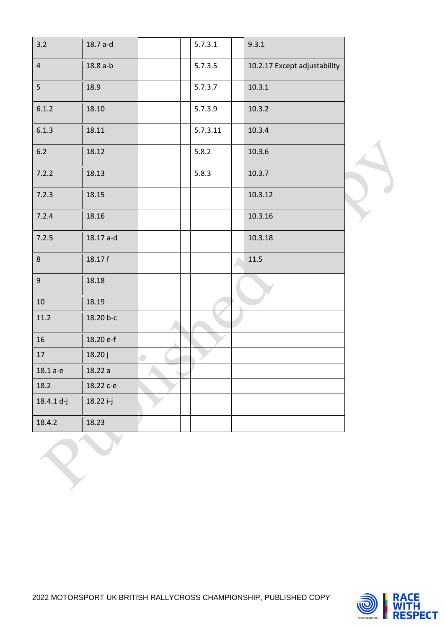| 3.2            | 18.7 a-d  |  | 5.7.3.1  | 9.3.1                        |
|----------------|-----------|--|----------|------------------------------|
| $\overline{4}$ | 18.8 a-b  |  | 5.7.3.5  | 10.2.17 Except adjustability |
| 5              | 18.9      |  | 5.7.3.7  | 10.3.1                       |
| 6.1.2          | 18.10     |  | 5.7.3.9  | 10.3.2                       |
| 6.1.3          | 18.11     |  | 5.7.3.11 | 10.3.4                       |
| $6.2$          | 18.12     |  | 5.8.2    | 10.3.6                       |
| 7.2.2          | 18.13     |  | 5.8.3    | 10.3.7                       |
| 7.2.3          | 18.15     |  |          | 10.3.12                      |
| 7.2.4          | 18.16     |  |          | 10.3.16                      |
| 7.2.5          | 18.17 a-d |  |          | 10.3.18                      |
| 8              | 18.17 f   |  |          | 11.5                         |
| $\mathsf g$    | 18.18     |  |          |                              |
| 10             | 18.19     |  |          |                              |
| 11.2           | 18.20 b-c |  |          |                              |
| 16             | 18.20 e-f |  |          |                              |
| 17             | 18.20 j   |  |          |                              |
| 18.1 a-e       | 18.22 a   |  |          |                              |
| 18.2           | 18.22 с-е |  |          |                              |
| 18.4.1 d-j     | 18.22 i-j |  |          |                              |
| 18.4.2         | 18.23     |  |          |                              |

 $\sum_{i=1}^n$